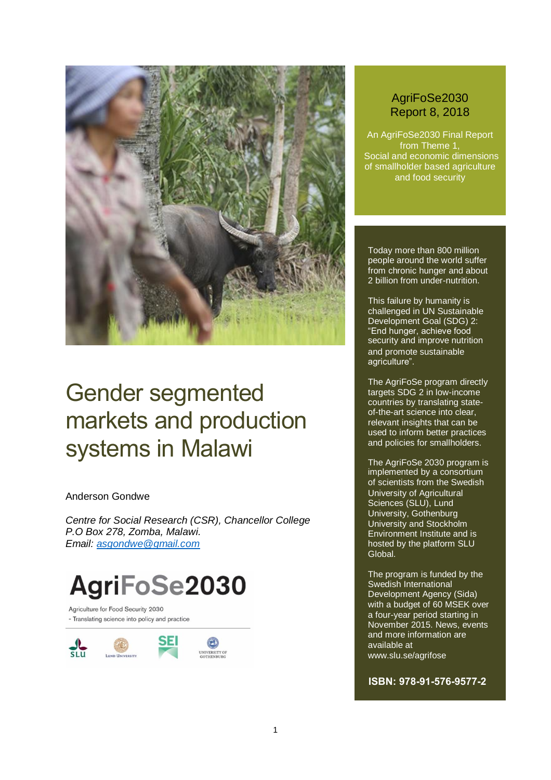

## Gender segmented markets and production systems in Malawi

#### Anderson Gondwe

*Centre for Social Research (CSR), Chancellor College P.O Box 278, Zomba, Malawi. Email: [asgondwe@gmail.com](mailto:asgondwe@gmail.com)*

# AgriFoSe2030

Agriculture for Food Security 2030 - Translating science into policy and practice



#### AgriFoSe2030 Report 8, 2018

An AgriFoSe2030 Final Report from Theme 1, Social and economic dimensions of smallholder based agriculture and food security

Today more than 800 million people around the world suffer from chronic hunger and about 2 billion from under-nutrition.

This failure by humanity is challenged in UN Sustainable Development Goal (SDG) 2: "End hunger, achieve food security and improve nutrition and promote sustainable agriculture".

The AgriFoSe program directly targets SDG 2 in low-income countries by translating stateof-the-art science into clear, relevant insights that can be used to inform better practices and policies for smallholders.

The AgriFoSe 2030 program is implemented by a consortium of scientists from the Swedish University of Agricultural Sciences (SLU), Lund University, Gothenburg University and Stockholm Environment Institute and is hosted by the platform SLU Global.

The program is funded by the Swedish International Development Agency (Sida) with a budget of 60 MSEK over a four-year period starting in November 2015. News, events and more information are available at www.slu.se/agrifose

**ISBN: 978-91-576-9577-2**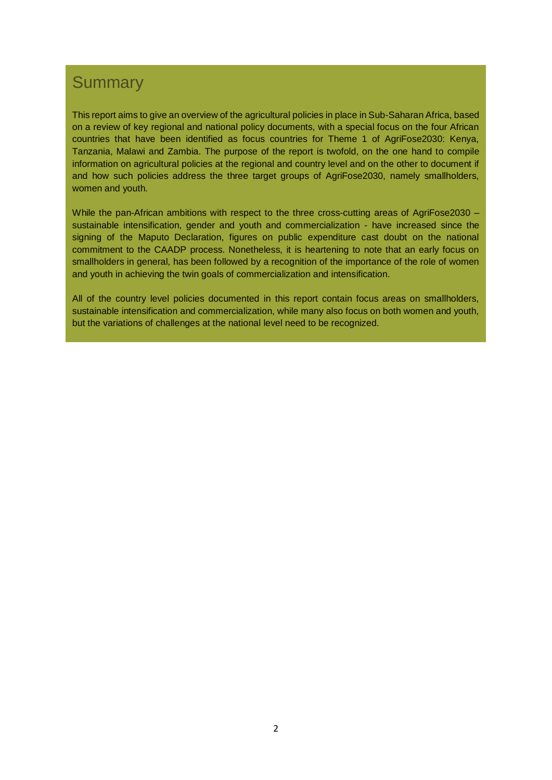#### **Summary**

This report aims to give an overview of the agricultural policies in place in Sub-Saharan Africa, based on a review of key regional and national policy documents, with a special focus on the four African countries that have been identified as focus countries for Theme 1 of AgriFose2030: Kenya, Tanzania, Malawi and Zambia. The purpose of the report is twofold, on the one hand to compile information on agricultural policies at the regional and country level and on the other to document if and how such policies address the three target groups of AgriFose2030, namely smallholders, women and youth.

While the pan-African ambitions with respect to the three cross-cutting areas of AgriFose2030 – sustainable intensification, gender and youth and commercialization - have increased since the signing of the Maputo Declaration, figures on public expenditure cast doubt on the national commitment to the CAADP process. Nonetheless, it is heartening to note that an early focus on smallholders in general, has been followed by a recognition of the importance of the role of women and youth in achieving the twin goals of commercialization and intensification.

All of the country level policies documented in this report contain focus areas on smallholders, sustainable intensification and commercialization, while many also focus on both women and youth, but the variations of challenges at the national level need to be recognized.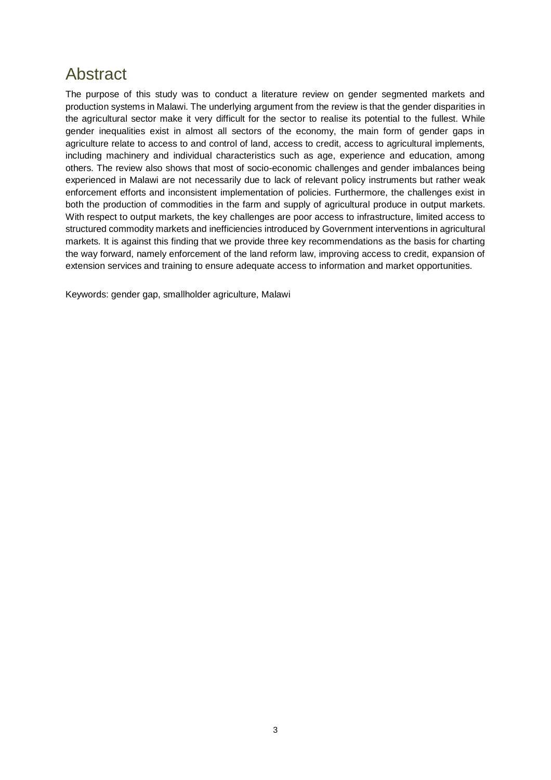### <span id="page-2-0"></span>Abstract

The purpose of this study was to conduct a literature review on gender segmented markets and production systems in Malawi. The underlying argument from the review is that the gender disparities in the agricultural sector make it very difficult for the sector to realise its potential to the fullest. While gender inequalities exist in almost all sectors of the economy, the main form of gender gaps in agriculture relate to access to and control of land, access to credit, access to agricultural implements, including machinery and individual characteristics such as age, experience and education, among others. The review also shows that most of socio-economic challenges and gender imbalances being experienced in Malawi are not necessarily due to lack of relevant policy instruments but rather weak enforcement efforts and inconsistent implementation of policies. Furthermore, the challenges exist in both the production of commodities in the farm and supply of agricultural produce in output markets. With respect to output markets, the key challenges are poor access to infrastructure, limited access to structured commodity markets and inefficiencies introduced by Government interventions in agricultural markets. It is against this finding that we provide three key recommendations as the basis for charting the way forward, namely enforcement of the land reform law, improving access to credit, expansion of extension services and training to ensure adequate access to information and market opportunities.

Keywords: gender gap, smallholder agriculture, Malawi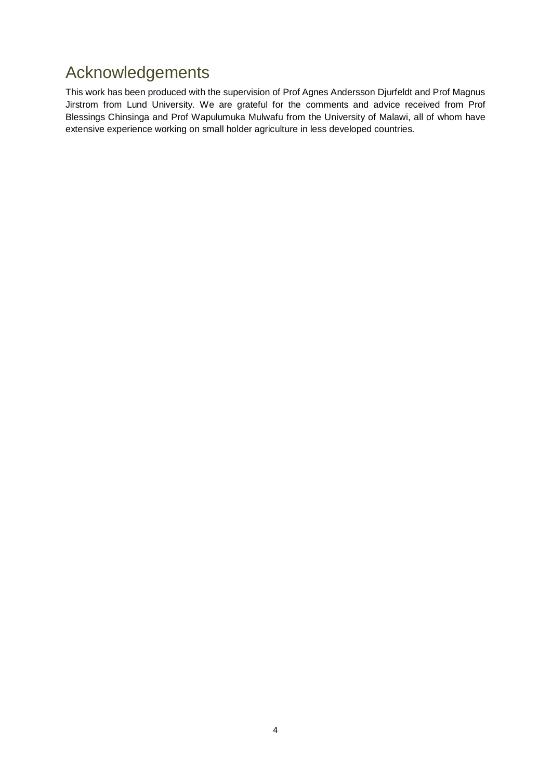### <span id="page-3-0"></span>Acknowledgements

This work has been produced with the supervision of Prof Agnes Andersson Djurfeldt and Prof Magnus Jirstrom from Lund University. We are grateful for the comments and advice received from Prof Blessings Chinsinga and Prof Wapulumuka Mulwafu from the University of Malawi, all of whom have extensive experience working on small holder agriculture in less developed countries.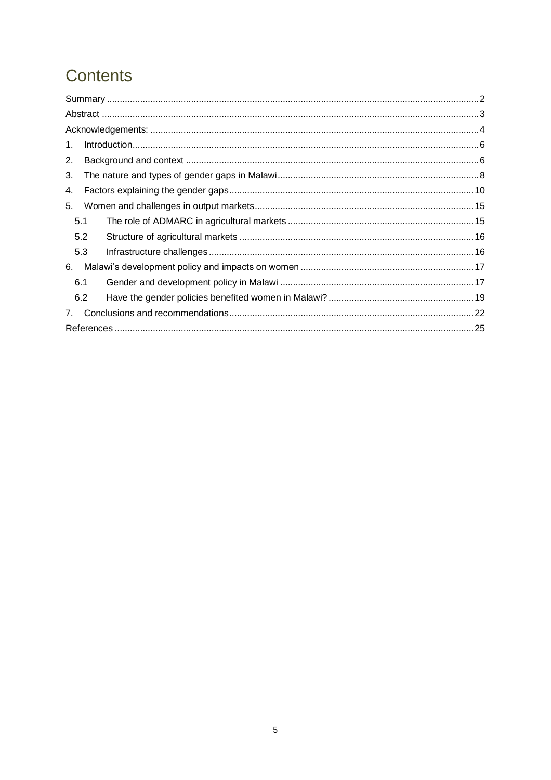### Contents

| 1.          |  |  |
|-------------|--|--|
| 2.          |  |  |
| 3.          |  |  |
| 4.          |  |  |
| 5.          |  |  |
| 5.1         |  |  |
| 5.2         |  |  |
| 5.3         |  |  |
| 6.          |  |  |
| 6.1         |  |  |
| 6.2         |  |  |
| $7_{\cdot}$ |  |  |
|             |  |  |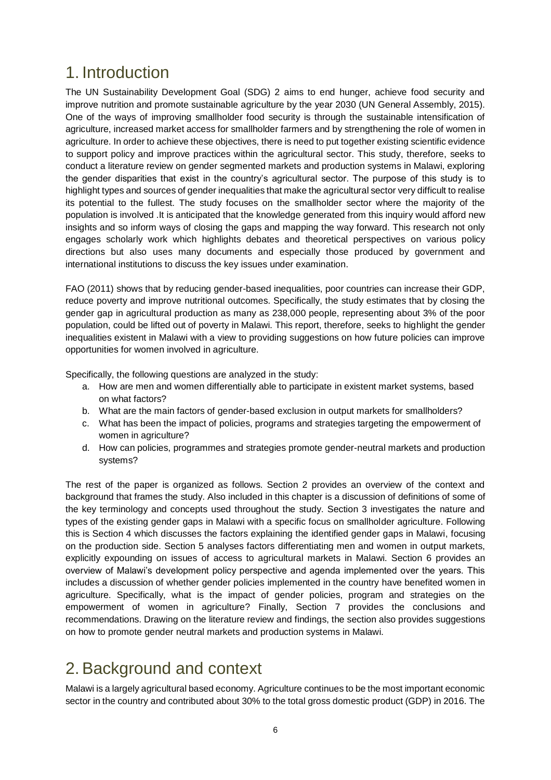### <span id="page-5-0"></span>1. Introduction

The UN Sustainability Development Goal (SDG) 2 aims to end hunger, achieve food security and improve nutrition and promote sustainable agriculture by the year 2030 (UN General Assembly, 2015). One of the ways of improving smallholder food security is through the sustainable intensification of agriculture, increased market access for smallholder farmers and by strengthening the role of women in agriculture. In order to achieve these objectives, there is need to put together existing scientific evidence to support policy and improve practices within the agricultural sector. This study, therefore, seeks to conduct a literature review on gender segmented markets and production systems in Malawi, exploring the gender disparities that exist in the country's agricultural sector. The purpose of this study is to highlight types and sources of gender inequalities that make the agricultural sector very difficult to realise its potential to the fullest. The study focuses on the smallholder sector where the majority of the population is involved .It is anticipated that the knowledge generated from this inquiry would afford new insights and so inform ways of closing the gaps and mapping the way forward. This research not only engages scholarly work which highlights debates and theoretical perspectives on various policy directions but also uses many documents and especially those produced by government and international institutions to discuss the key issues under examination.

FAO (2011) shows that by reducing gender-based inequalities, poor countries can increase their GDP, reduce poverty and improve nutritional outcomes. Specifically, the study estimates that by closing the gender gap in agricultural production as many as 238,000 people, representing about 3% of the poor population, could be lifted out of poverty in Malawi. This report, therefore, seeks to highlight the gender inequalities existent in Malawi with a view to providing suggestions on how future policies can improve opportunities for women involved in agriculture.

Specifically, the following questions are analyzed in the study:

- a. How are men and women differentially able to participate in existent market systems, based on what factors?
- b. What are the main factors of gender-based exclusion in output markets for smallholders?
- c. What has been the impact of policies, programs and strategies targeting the empowerment of women in agriculture?
- d. How can policies, programmes and strategies promote gender-neutral markets and production systems?

The rest of the paper is organized as follows. Section 2 provides an overview of the context and background that frames the study. Also included in this chapter is a discussion of definitions of some of the key terminology and concepts used throughout the study. Section 3 investigates the nature and types of the existing gender gaps in Malawi with a specific focus on smallholder agriculture. Following this is Section 4 which discusses the factors explaining the identified gender gaps in Malawi, focusing on the production side. Section 5 analyses factors differentiating men and women in output markets, explicitly expounding on issues of access to agricultural markets in Malawi. Section 6 provides an overview of Malawi's development policy perspective and agenda implemented over the years. This includes a discussion of whether gender policies implemented in the country have benefited women in agriculture. Specifically, what is the impact of gender policies, program and strategies on the empowerment of women in agriculture? Finally, Section 7 provides the conclusions and recommendations. Drawing on the literature review and findings, the section also provides suggestions on how to promote gender neutral markets and production systems in Malawi.

### <span id="page-5-1"></span>2.Background and context

Malawi is a largely agricultural based economy. Agriculture continues to be the most important economic sector in the country and contributed about 30% to the total gross domestic product (GDP) in 2016. The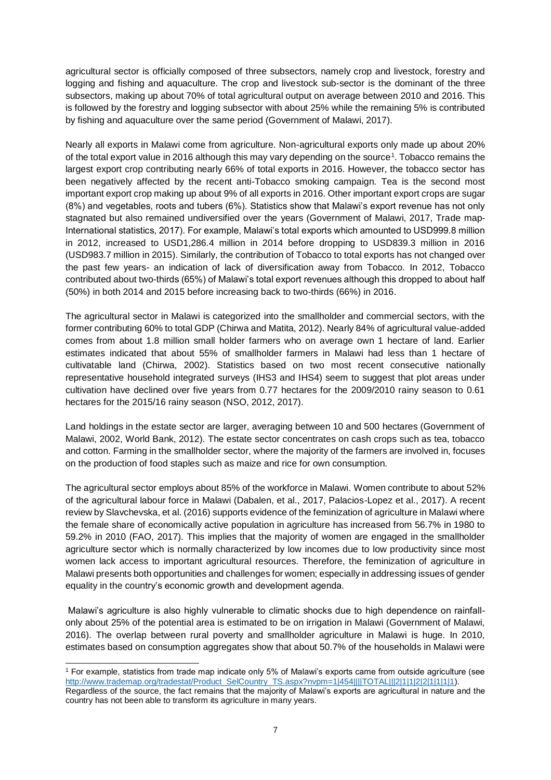agricultural sector is officially composed of three subsectors, namely crop and livestock, forestry and logging and fishing and aquaculture. The crop and livestock sub-sector is the dominant of the three subsectors, making up about 70% of total agricultural output on average between 2010 and 2016. This is followed by the forestry and logging subsector with about 25% while the remaining 5% is contributed by fishing and aquaculture over the same period (Government of Malawi, 2017).

Nearly all exports in Malawi come from agriculture. Non-agricultural exports only made up about 20% of the total export value in 2016 although this may vary depending on the source<sup>1</sup>. Tobacco remains the largest export crop contributing nearly 66% of total exports in 2016. However, the tobacco sector has been negatively affected by the recent anti-Tobacco smoking campaign. Tea is the second most important export crop making up about 9% of all exports in 2016. Other important export crops are sugar (8%) and vegetables, roots and tubers (6%). Statistics show that Malawi's export revenue has not only stagnated but also remained undiversified over the years (Government of Malawi, 2017, Trade map-International statistics, 2017). For example, Malawi's total exports which amounted to USD999.8 million in 2012, increased to USD1,286.4 million in 2014 before dropping to USD839.3 million in 2016 (USD983.7 million in 2015). Similarly, the contribution of Tobacco to total exports has not changed over the past few years- an indication of lack of diversification away from Tobacco. In 2012, Tobacco contributed about two-thirds (65%) of Malawi's total export revenues although this dropped to about half (50%) in both 2014 and 2015 before increasing back to two-thirds (66%) in 2016.

The agricultural sector in Malawi is categorized into the smallholder and commercial sectors, with the former contributing 60% to total GDP (Chirwa and Matita, 2012). Nearly 84% of agricultural value-added comes from about 1.8 million small holder farmers who on average own 1 hectare of land. Earlier estimates indicated that about 55% of smallholder farmers in Malawi had less than 1 hectare of cultivatable land (Chirwa, 2002). Statistics based on two most recent consecutive nationally representative household integrated surveys (IHS3 and IHS4) seem to suggest that plot areas under cultivation have declined over five years from 0.77 hectares for the 2009/2010 rainy season to 0.61 hectares for the 2015/16 rainy season (NSO, 2012, 2017).

Land holdings in the estate sector are larger, averaging between 10 and 500 hectares (Government of Malawi, 2002, World Bank, 2012). The estate sector concentrates on cash crops such as tea, tobacco and cotton. Farming in the smallholder sector, where the majority of the farmers are involved in, focuses on the production of food staples such as maize and rice for own consumption.

The agricultural sector employs about 85% of the workforce in Malawi. Women contribute to about 52% of the agricultural labour force in Malawi (Dabalen, et al., 2017, Palacios-Lopez et al., 2017). A recent review by Slavchevska, et al. (2016) supports evidence of the feminization of agriculture in Malawi where the female share of economically active population in agriculture has increased from 56.7% in 1980 to 59.2% in 2010 (FAO, 2017). This implies that the majority of women are engaged in the smallholder agriculture sector which is normally characterized by low incomes due to low productivity since most women lack access to important agricultural resources. Therefore, the feminization of agriculture in Malawi presents both opportunities and challenges for women; especially in addressing issues of gender equality in the country's economic growth and development agenda.

Malawi's agriculture is also highly vulnerable to climatic shocks due to high dependence on rainfallonly about 25% of the potential area is estimated to be on irrigation in Malawi (Government of Malawi, 2016). The overlap between rural poverty and smallholder agriculture in Malawi is huge. In 2010, estimates based on consumption aggregates show that about 50.7% of the households in Malawi were

<sup>1</sup> For example, statistics from trade map indicate only 5% of Malawi's exports came from outside agriculture (see [http://www.trademap.org/tradestat/Product\\_SelCountry\\_TS.aspx?nvpm=1|454||||TOTAL|||2|1|1|2|2|1|1|1|1\)](http://www.trademap.org/tradestat/Product_SelCountry_TS.aspx?nvpm=1|454||||TOTAL|||2|1|1|2|2|1|1|1|1). Regardless of the source, the fact remains that the majority of Malawi's exports are agricultural in nature and the country has not been able to transform its agriculture in many years.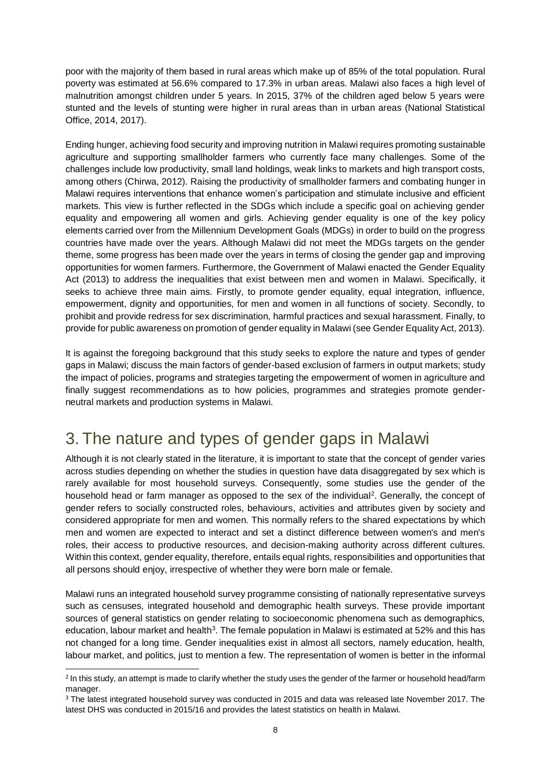poor with the majority of them based in rural areas which make up of 85% of the total population. Rural poverty was estimated at 56.6% compared to 17.3% in urban areas. Malawi also faces a high level of malnutrition amongst children under 5 years. In 2015, 37% of the children aged below 5 years were stunted and the levels of stunting were higher in rural areas than in urban areas (National Statistical Office, 2014, 2017).

Ending hunger, achieving food security and improving nutrition in Malawi requires promoting sustainable agriculture and supporting smallholder farmers who currently face many challenges. Some of the challenges include low productivity, small land holdings, weak links to markets and high transport costs, among others (Chirwa, 2012). Raising the productivity of smallholder farmers and combating hunger in Malawi requires interventions that enhance women's participation and stimulate inclusive and efficient markets. This view is further reflected in the SDGs which include a specific goal on achieving gender equality and empowering all women and girls. Achieving gender equality is one of the key policy elements carried over from the Millennium Development Goals (MDGs) in order to build on the progress countries have made over the years. Although Malawi did not meet the MDGs targets on the gender theme, some progress has been made over the years in terms of closing the gender gap and improving opportunities for women farmers. Furthermore, the Government of Malawi enacted the Gender Equality Act (2013) to address the inequalities that exist between men and women in Malawi. Specifically, it seeks to achieve three main aims. Firstly, to promote gender equality, equal integration, influence, empowerment, dignity and opportunities, for men and women in all functions of society. Secondly, to prohibit and provide redress for sex discrimination, harmful practices and sexual harassment. Finally, to provide for public awareness on promotion of gender equality in Malawi (see Gender Equality Act, 2013).

It is against the foregoing background that this study seeks to explore the nature and types of gender gaps in Malawi; discuss the main factors of gender-based exclusion of farmers in output markets; study the impact of policies, programs and strategies targeting the empowerment of women in agriculture and finally suggest recommendations as to how policies, programmes and strategies promote genderneutral markets and production systems in Malawi.

### <span id="page-7-0"></span>3. The nature and types of gender gaps in Malawi

Although it is not clearly stated in the literature, it is important to state that the concept of gender varies across studies depending on whether the studies in question have data disaggregated by sex which is rarely available for most household surveys. Consequently, some studies use the gender of the household head or farm manager as opposed to the sex of the individual<sup>2</sup>. Generally, the concept of gender refers to socially constructed roles, behaviours, activities and attributes given by society and considered appropriate for men and women. This normally refers to the shared expectations by which men and women are expected to interact and set a distinct difference between women's and men's roles, their access to productive resources, and decision-making authority across different cultures. Within this context, gender equality, therefore, entails equal rights, responsibilities and opportunities that all persons should enjoy, irrespective of whether they were born male or female.

Malawi runs an integrated household survey programme consisting of nationally representative surveys such as censuses, integrated household and demographic health surveys. These provide important sources of general statistics on gender relating to socioeconomic phenomena such as demographics, education, labour market and health<sup>3</sup>. The female population in Malawi is estimated at 52% and this has not changed for a long time. Gender inequalities exist in almost all sectors, namely education, health, labour market, and politics, just to mention a few. The representation of women is better in the informal

 $\overline{a}$ 

<sup>&</sup>lt;sup>2</sup> In this study, an attempt is made to clarify whether the study uses the gender of the farmer or household head/farm manager.

<sup>&</sup>lt;sup>3</sup> The latest integrated household survey was conducted in 2015 and data was released late November 2017. The latest DHS was conducted in 2015/16 and provides the latest statistics on health in Malawi.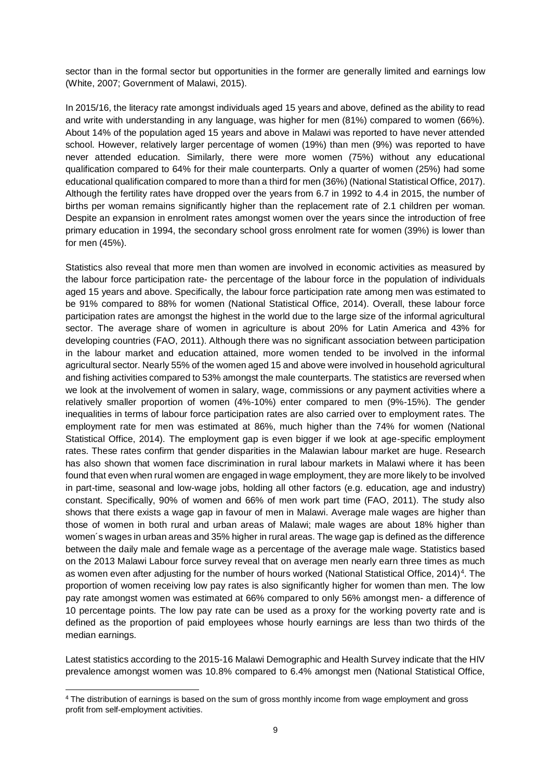sector than in the formal sector but opportunities in the former are generally limited and earnings low (White, 2007; Government of Malawi, 2015).

In 2015/16, the literacy rate amongst individuals aged 15 years and above, defined as the ability to read and write with understanding in any language, was higher for men (81%) compared to women (66%). About 14% of the population aged 15 years and above in Malawi was reported to have never attended school. However, relatively larger percentage of women (19%) than men (9%) was reported to have never attended education. Similarly, there were more women (75%) without any educational qualification compared to 64% for their male counterparts. Only a quarter of women (25%) had some educational qualification compared to more than a third for men (36%) (National Statistical Office, 2017). Although the fertility rates have dropped over the years from 6.7 in 1992 to 4.4 in 2015, the number of births per woman remains significantly higher than the replacement rate of 2.1 children per woman. Despite an expansion in enrolment rates amongst women over the years since the introduction of free primary education in 1994, the secondary school gross enrolment rate for women (39%) is lower than for men (45%).

Statistics also reveal that more men than women are involved in economic activities as measured by the labour force participation rate- the percentage of the labour force in the population of individuals aged 15 years and above. Specifically, the labour force participation rate among men was estimated to be 91% compared to 88% for women (National Statistical Office, 2014). Overall, these labour force participation rates are amongst the highest in the world due to the large size of the informal agricultural sector. The average share of women in agriculture is about 20% for Latin America and 43% for developing countries (FAO, 2011). Although there was no significant association between participation in the labour market and education attained, more women tended to be involved in the informal agricultural sector. Nearly 55% of the women aged 15 and above were involved in household agricultural and fishing activities compared to 53% amongst the male counterparts. The statistics are reversed when we look at the involvement of women in salary, wage, commissions or any payment activities where a relatively smaller proportion of women (4%-10%) enter compared to men (9%-15%). The gender inequalities in terms of labour force participation rates are also carried over to employment rates. The employment rate for men was estimated at 86%, much higher than the 74% for women (National Statistical Office, 2014). The employment gap is even bigger if we look at age-specific employment rates. These rates confirm that gender disparities in the Malawian labour market are huge. Research has also shown that women face discrimination in rural labour markets in Malawi where it has been found that even when rural women are engaged in wage employment, they are more likely to be involved in part-time, seasonal and low-wage jobs, holding all other factors (e.g. education, age and industry) constant. Specifically, 90% of women and 66% of men work part time (FAO, 2011). The study also shows that there exists a wage gap in favour of men in Malawi. Average male wages are higher than those of women in both rural and urban areas of Malawi; male wages are about 18% higher than women´s wages in urban areas and 35% higher in rural areas. The wage gap is defined as the difference between the daily male and female wage as a percentage of the average male wage. Statistics based on the 2013 Malawi Labour force survey reveal that on average men nearly earn three times as much as women even after adjusting for the number of hours worked (National Statistical Office, 2014)<sup>4</sup>. The proportion of women receiving low pay rates is also significantly higher for women than men. The low pay rate amongst women was estimated at 66% compared to only 56% amongst men- a difference of 10 percentage points. The low pay rate can be used as a proxy for the working poverty rate and is defined as the proportion of paid employees whose hourly earnings are less than two thirds of the median earnings.

Latest statistics according to the 2015-16 Malawi Demographic and Health Survey indicate that the HIV prevalence amongst women was 10.8% compared to 6.4% amongst men (National Statistical Office,

 $\overline{a}$ 

<sup>&</sup>lt;sup>4</sup> The distribution of earnings is based on the sum of gross monthly income from wage employment and gross profit from self-employment activities.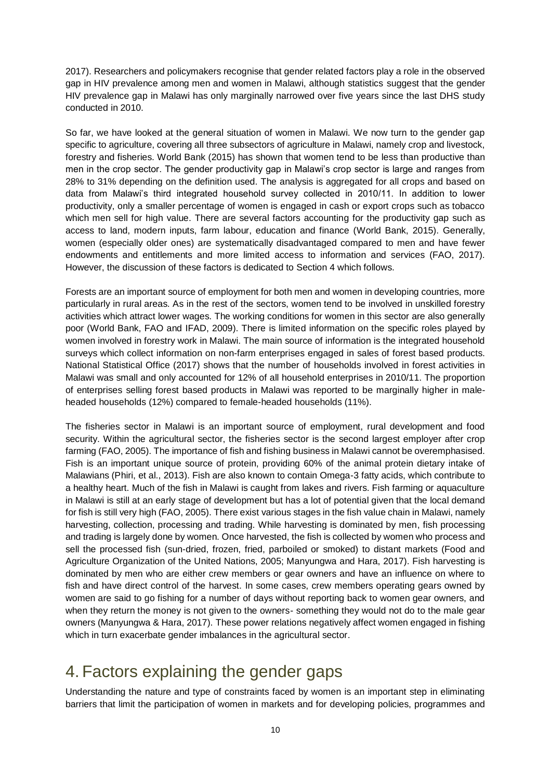2017). Researchers and policymakers recognise that gender related factors play a role in the observed gap in HIV prevalence among men and women in Malawi, although statistics suggest that the gender HIV prevalence gap in Malawi has only marginally narrowed over five years since the last DHS study conducted in 2010.

So far, we have looked at the general situation of women in Malawi. We now turn to the gender gap specific to agriculture, covering all three subsectors of agriculture in Malawi, namely crop and livestock, forestry and fisheries. World Bank (2015) has shown that women tend to be less than productive than men in the crop sector. The gender productivity gap in Malawi's crop sector is large and ranges from 28% to 31% depending on the definition used. The analysis is aggregated for all crops and based on data from Malawi's third integrated household survey collected in 2010/11. In addition to lower productivity, only a smaller percentage of women is engaged in cash or export crops such as tobacco which men sell for high value. There are several factors accounting for the productivity gap such as access to land, modern inputs, farm labour, education and finance (World Bank, 2015). Generally, women (especially older ones) are systematically disadvantaged compared to men and have fewer endowments and entitlements and more limited access to information and services (FAO, 2017). However, the discussion of these factors is dedicated to Section 4 which follows.

Forests are an important source of employment for both men and women in developing countries, more particularly in rural areas. As in the rest of the sectors, women tend to be involved in unskilled forestry activities which attract lower wages. The working conditions for women in this sector are also generally poor (World Bank, FAO and IFAD, 2009). There is limited information on the specific roles played by women involved in forestry work in Malawi. The main source of information is the integrated household surveys which collect information on non-farm enterprises engaged in sales of forest based products. National Statistical Office (2017) shows that the number of households involved in forest activities in Malawi was small and only accounted for 12% of all household enterprises in 2010/11. The proportion of enterprises selling forest based products in Malawi was reported to be marginally higher in maleheaded households (12%) compared to female-headed households (11%).

The fisheries sector in Malawi is an important source of employment, rural development and food security. Within the agricultural sector, the fisheries sector is the second largest employer after crop farming (FAO, 2005). The importance of fish and fishing business in Malawi cannot be overemphasised. Fish is an important unique source of protein, providing 60% of the animal protein dietary intake of Malawians (Phiri, et al., 2013). Fish are also known to contain Omega-3 fatty acids, which contribute to a healthy heart. Much of the fish in Malawi is caught from lakes and rivers. Fish farming or aquaculture in Malawi is still at an early stage of development but has a lot of potential given that the local demand for fish is still very high (FAO, 2005). There exist various stages in the fish value chain in Malawi, namely harvesting, collection, processing and trading. While harvesting is dominated by men, fish processing and trading is largely done by women. Once harvested, the fish is collected by women who process and sell the processed fish (sun-dried, frozen, fried, parboiled or smoked) to distant markets (Food and Agriculture Organization of the United Nations, 2005; Manyungwa and Hara, 2017). Fish harvesting is dominated by men who are either crew members or gear owners and have an influence on where to fish and have direct control of the harvest. In some cases, crew members operating gears owned by women are said to go fishing for a number of days without reporting back to women gear owners, and when they return the money is not given to the owners- something they would not do to the male gear owners (Manyungwa & Hara, 2017). These power relations negatively affect women engaged in fishing which in turn exacerbate gender imbalances in the agricultural sector.

### <span id="page-9-0"></span>4. Factors explaining the gender gaps

Understanding the nature and type of constraints faced by women is an important step in eliminating barriers that limit the participation of women in markets and for developing policies, programmes and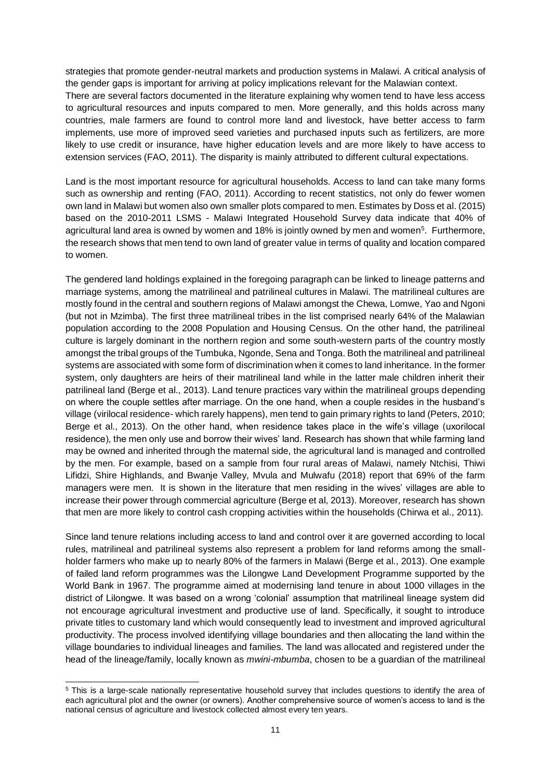strategies that promote gender-neutral markets and production systems in Malawi. A critical analysis of the gender gaps is important for arriving at policy implications relevant for the Malawian context.

There are several factors documented in the literature explaining why women tend to have less access to agricultural resources and inputs compared to men. More generally, and this holds across many countries, male farmers are found to control more land and livestock, have better access to farm implements, use more of improved seed varieties and purchased inputs such as fertilizers, are more likely to use credit or insurance, have higher education levels and are more likely to have access to extension services (FAO, 2011). The disparity is mainly attributed to different cultural expectations.

Land is the most important resource for agricultural households. Access to land can take many forms such as ownership and renting (FAO, 2011). According to recent statistics, not only do fewer women own land in Malawi but women also own smaller plots compared to men. Estimates by Doss et al. (2015) based on the 2010-2011 LSMS - Malawi Integrated Household Survey data indicate that 40% of agricultural land area is owned by women and 18% is jointly owned by men and women<sup>5</sup>. Furthermore, the research shows that men tend to own land of greater value in terms of quality and location compared to women.

The gendered land holdings explained in the foregoing paragraph can be linked to lineage patterns and marriage systems, among the matrilineal and patrilineal cultures in Malawi. The matrilineal cultures are mostly found in the central and southern regions of Malawi amongst the Chewa, Lomwe, Yao and Ngoni (but not in Mzimba). The first three matrilineal tribes in the list comprised nearly 64% of the Malawian population according to the 2008 Population and Housing Census. On the other hand, the patrilineal culture is largely dominant in the northern region and some south-western parts of the country mostly amongst the tribal groups of the Tumbuka, Ngonde, Sena and Tonga. Both the matrilineal and patrilineal systems are associated with some form of discrimination when it comes to land inheritance. In the former system, only daughters are heirs of their matrilineal land while in the latter male children inherit their patrilineal land (Berge et al., 2013). Land tenure practices vary within the matrilineal groups depending on where the couple settles after marriage. On the one hand, when a couple resides in the husband's village (virilocal residence- which rarely happens), men tend to gain primary rights to land (Peters, 2010; Berge et al., 2013). On the other hand, when residence takes place in the wife's village (uxorilocal residence), the men only use and borrow their wives' land. Research has shown that while farming land may be owned and inherited through the maternal side, the agricultural land is managed and controlled by the men. For example, based on a sample from four rural areas of Malawi, namely Ntchisi, Thiwi Lifidzi, Shire Highlands, and Bwanje Valley, Mvula and Mulwafu (2018) report that 69% of the farm managers were men. It is shown in the literature that men residing in the wives' villages are able to increase their power through commercial agriculture (Berge et al, 2013). Moreover, research has shown that men are more likely to control cash cropping activities within the households (Chirwa et al., 2011).

Since land tenure relations including access to land and control over it are governed according to local rules, matrilineal and patrilineal systems also represent a problem for land reforms among the smallholder farmers who make up to nearly 80% of the farmers in Malawi (Berge et al., 2013). One example of failed land reform programmes was the Lilongwe Land Development Programme supported by the World Bank in 1967. The programme aimed at modernising land tenure in about 1000 villages in the district of Lilongwe. It was based on a wrong 'colonial' assumption that matrilineal lineage system did not encourage agricultural investment and productive use of land. Specifically, it sought to introduce private titles to customary land which would consequently lead to investment and improved agricultural productivity. The process involved identifying village boundaries and then allocating the land within the village boundaries to individual lineages and families. The land was allocated and registered under the head of the lineage/family, locally known as *mwini-mbumba*, chosen to be a guardian of the matrilineal

<sup>5</sup> This is a large-scale nationally representative household survey that includes questions to identify the area of each agricultural plot and the owner (or owners). Another comprehensive source of women's access to land is the national census of agriculture and livestock collected almost every ten years.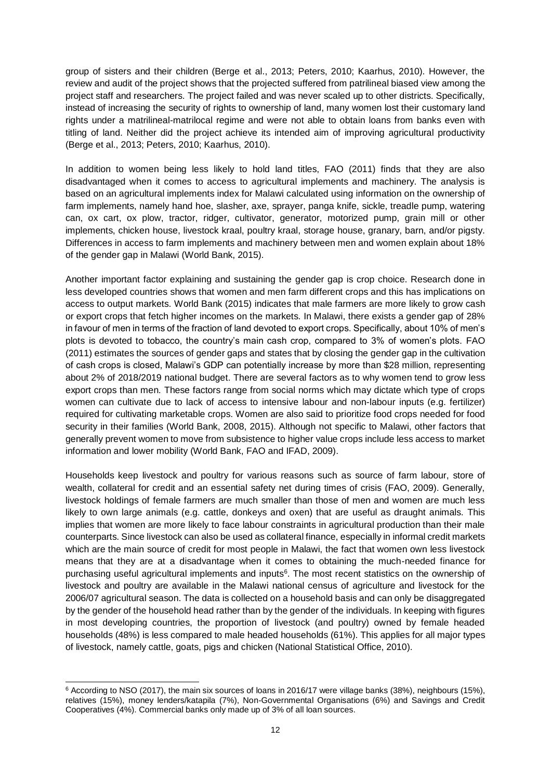group of sisters and their children (Berge et al., 2013; Peters, 2010; Kaarhus, 2010). However, the review and audit of the project shows that the projected suffered from patrilineal biased view among the project staff and researchers. The project failed and was never scaled up to other districts. Specifically, instead of increasing the security of rights to ownership of land, many women lost their customary land rights under a matrilineal-matrilocal regime and were not able to obtain loans from banks even with titling of land. Neither did the project achieve its intended aim of improving agricultural productivity (Berge et al., 2013; Peters, 2010; Kaarhus, 2010).

In addition to women being less likely to hold land titles, FAO (2011) finds that they are also disadvantaged when it comes to access to agricultural implements and machinery. The analysis is based on an agricultural implements index for Malawi calculated using information on the ownership of farm implements, namely hand hoe, slasher, axe, sprayer, panga knife, sickle, treadle pump, watering can, ox cart, ox plow, tractor, ridger, cultivator, generator, motorized pump, grain mill or other implements, chicken house, livestock kraal, poultry kraal, storage house, granary, barn, and/or pigsty. Differences in access to farm implements and machinery between men and women explain about 18% of the gender gap in Malawi (World Bank, 2015).

Another important factor explaining and sustaining the gender gap is crop choice. Research done in less developed countries shows that women and men farm different crops and this has implications on access to output markets. World Bank (2015) indicates that male farmers are more likely to grow cash or export crops that fetch higher incomes on the markets. In Malawi, there exists a gender gap of 28% in favour of men in terms of the fraction of land devoted to export crops. Specifically, about 10% of men's plots is devoted to tobacco, the country's main cash crop, compared to 3% of women's plots. FAO (2011) estimates the sources of gender gaps and states that by closing the gender gap in the cultivation of cash crops is closed, Malawi's GDP can potentially increase by more than \$28 million, representing about 2% of 2018/2019 national budget. There are several factors as to why women tend to grow less export crops than men. These factors range from social norms which may dictate which type of crops women can cultivate due to lack of access to intensive labour and non-labour inputs (e.g. fertilizer) required for cultivating marketable crops. Women are also said to prioritize food crops needed for food security in their families (World Bank, 2008, 2015). Although not specific to Malawi, other factors that generally prevent women to move from subsistence to higher value crops include less access to market information and lower mobility (World Bank, FAO and IFAD, 2009).

Households keep livestock and poultry for various reasons such as source of farm labour, store of wealth, collateral for credit and an essential safety net during times of crisis (FAO, 2009). Generally, livestock holdings of female farmers are much smaller than those of men and women are much less likely to own large animals (e.g. cattle, donkeys and oxen) that are useful as draught animals. This implies that women are more likely to face labour constraints in agricultural production than their male counterparts. Since livestock can also be used as collateral finance, especially in informal credit markets which are the main source of credit for most people in Malawi, the fact that women own less livestock means that they are at a disadvantage when it comes to obtaining the much-needed finance for purchasing useful agricultural implements and inputs<sup>6</sup>. The most recent statistics on the ownership of livestock and poultry are available in the Malawi national census of agriculture and livestock for the 2006/07 agricultural season. The data is collected on a household basis and can only be disaggregated by the gender of the household head rather than by the gender of the individuals. In keeping with figures in most developing countries, the proportion of livestock (and poultry) owned by female headed households (48%) is less compared to male headed households (61%). This applies for all major types of livestock, namely cattle, goats, pigs and chicken (National Statistical Office, 2010).

l <sup>6</sup> According to NSO (2017), the main six sources of loans in 2016/17 were village banks (38%), neighbours (15%), relatives (15%), money lenders/katapila (7%), Non-Governmental Organisations (6%) and Savings and Credit Cooperatives (4%). Commercial banks only made up of 3% of all loan sources.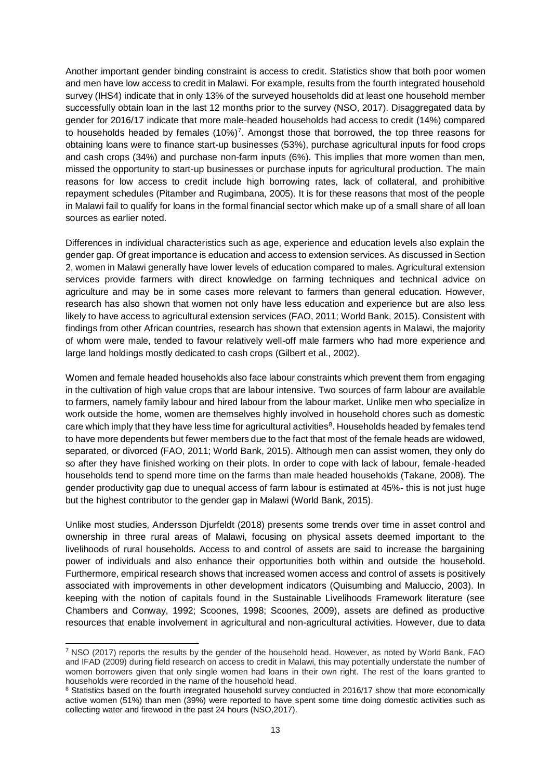Another important gender binding constraint is access to credit. Statistics show that both poor women and men have low access to credit in Malawi. For example, results from the fourth integrated household survey (IHS4) indicate that in only 13% of the surveyed households did at least one household member successfully obtain loan in the last 12 months prior to the survey (NSO, 2017). Disaggregated data by gender for 2016/17 indicate that more male-headed households had access to credit (14%) compared to households headed by females (10%)<sup>7</sup>. Amongst those that borrowed, the top three reasons for obtaining loans were to finance start-up businesses (53%), purchase agricultural inputs for food crops and cash crops (34%) and purchase non-farm inputs (6%). This implies that more women than men, missed the opportunity to start-up businesses or purchase inputs for agricultural production. The main reasons for low access to credit include high borrowing rates, lack of collateral, and prohibitive repayment schedules (Pitamber and Rugimbana, 2005). It is for these reasons that most of the people in Malawi fail to qualify for loans in the formal financial sector which make up of a small share of all loan sources as earlier noted.

Differences in individual characteristics such as age, experience and education levels also explain the gender gap. Of great importance is education and access to extension services. As discussed in Section 2, women in Malawi generally have lower levels of education compared to males. Agricultural extension services provide farmers with direct knowledge on farming techniques and technical advice on agriculture and may be in some cases more relevant to farmers than general education. However, research has also shown that women not only have less education and experience but are also less likely to have access to agricultural extension services (FAO, 2011; World Bank, 2015). Consistent with findings from other African countries, research has shown that extension agents in Malawi, the majority of whom were male, tended to favour relatively well-off male farmers who had more experience and large land holdings mostly dedicated to cash crops (Gilbert et al., 2002).

Women and female headed households also face labour constraints which prevent them from engaging in the cultivation of high value crops that are labour intensive. Two sources of farm labour are available to farmers, namely family labour and hired labour from the labour market. Unlike men who specialize in work outside the home, women are themselves highly involved in household chores such as domestic care which imply that they have less time for agricultural activities<sup>8</sup>. Households headed by females tend to have more dependents but fewer members due to the fact that most of the female heads are widowed, separated, or divorced (FAO, 2011; World Bank, 2015). Although men can assist women, they only do so after they have finished working on their plots. In order to cope with lack of labour, female-headed households tend to spend more time on the farms than male headed households (Takane, 2008). The gender productivity gap due to unequal access of farm labour is estimated at 45%- this is not just huge but the highest contributor to the gender gap in Malawi (World Bank, 2015).

Unlike most studies, Andersson Djurfeldt (2018) presents some trends over time in asset control and ownership in three rural areas of Malawi, focusing on physical assets deemed important to the livelihoods of rural households. Access to and control of assets are said to increase the bargaining power of individuals and also enhance their opportunities both within and outside the household. Furthermore, empirical research shows that increased women access and control of assets is positively associated with improvements in other development indicators (Quisumbing and Maluccio, 2003). In keeping with the notion of capitals found in the Sustainable Livelihoods Framework literature (see Chambers and Conway, 1992; Scoones, 1998; Scoones, 2009), assets are defined as productive resources that enable involvement in agricultural and non-agricultural activities. However, due to data

<sup>7</sup> NSO (2017) reports the results by the gender of the household head. However, as noted by World Bank, FAO and IFAD (2009) during field research on access to credit in Malawi, this may potentially understate the number of women borrowers given that only single women had loans in their own right. The rest of the loans granted to households were recorded in the name of the household head.

<sup>&</sup>lt;sup>8</sup> Statistics based on the fourth integrated household survey conducted in 2016/17 show that more economically active women (51%) than men (39%) were reported to have spent some time doing domestic activities such as collecting water and firewood in the past 24 hours (NSO,2017).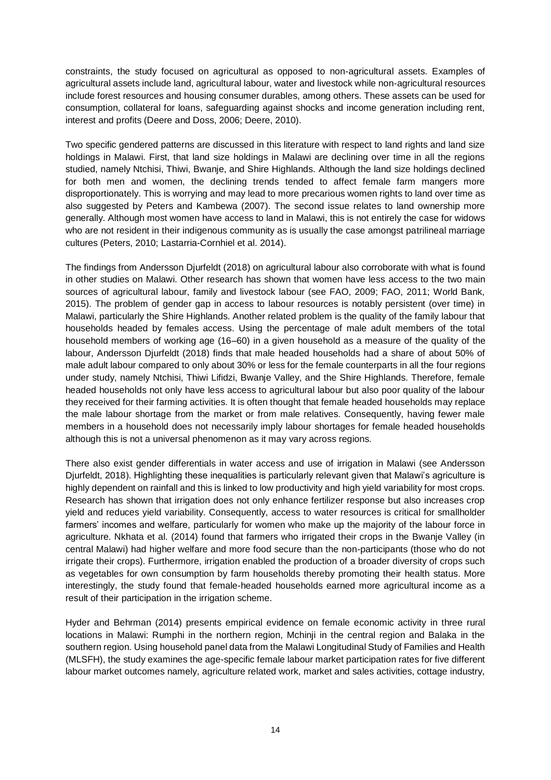constraints, the study focused on agricultural as opposed to non-agricultural assets. Examples of agricultural assets include land, agricultural labour, water and livestock while non-agricultural resources include forest resources and housing consumer durables, among others. These assets can be used for consumption, collateral for loans, safeguarding against shocks and income generation including rent, interest and profits (Deere and Doss, 2006; Deere, 2010).

Two specific gendered patterns are discussed in this literature with respect to land rights and land size holdings in Malawi. First, that land size holdings in Malawi are declining over time in all the regions studied, namely Ntchisi, Thiwi, Bwanje, and Shire Highlands. Although the land size holdings declined for both men and women, the declining trends tended to affect female farm mangers more disproportionately. This is worrying and may lead to more precarious women rights to land over time as also suggested by Peters and Kambewa (2007). The second issue relates to land ownership more generally. Although most women have access to land in Malawi, this is not entirely the case for widows who are not resident in their indigenous community as is usually the case amongst patrilineal marriage cultures (Peters, 2010; Lastarria-Cornhiel et al. 2014).

The findings from Andersson Djurfeldt (2018) on agricultural labour also corroborate with what is found in other studies on Malawi. Other research has shown that women have less access to the two main sources of agricultural labour, family and livestock labour (see FAO, 2009; FAO, 2011; World Bank, 2015). The problem of gender gap in access to labour resources is notably persistent (over time) in Malawi, particularly the Shire Highlands. Another related problem is the quality of the family labour that households headed by females access. Using the percentage of male adult members of the total household members of working age (16–60) in a given household as a measure of the quality of the labour, Andersson Djurfeldt (2018) finds that male headed households had a share of about 50% of male adult labour compared to only about 30% or less for the female counterparts in all the four regions under study, namely Ntchisi, Thiwi Lifidzi, Bwanje Valley, and the Shire Highlands. Therefore, female headed households not only have less access to agricultural labour but also poor quality of the labour they received for their farming activities. It is often thought that female headed households may replace the male labour shortage from the market or from male relatives. Consequently, having fewer male members in a household does not necessarily imply labour shortages for female headed households although this is not a universal phenomenon as it may vary across regions.

There also exist gender differentials in water access and use of irrigation in Malawi (see Andersson Djurfeldt, 2018). Highlighting these inequalities is particularly relevant given that Malawi's agriculture is highly dependent on rainfall and this is linked to low productivity and high yield variability for most crops. Research has shown that irrigation does not only enhance fertilizer response but also increases crop yield and reduces yield variability. Consequently, access to water resources is critical for smallholder farmers' incomes and welfare, particularly for women who make up the majority of the labour force in agriculture. Nkhata et al. (2014) found that farmers who irrigated their crops in the Bwanje Valley (in central Malawi) had higher welfare and more food secure than the non-participants (those who do not irrigate their crops). Furthermore, irrigation enabled the production of a broader diversity of crops such as vegetables for own consumption by farm households thereby promoting their health status. More interestingly, the study found that female-headed households earned more agricultural income as a result of their participation in the irrigation scheme.

Hyder and Behrman (2014) presents empirical evidence on female economic activity in three rural locations in Malawi: Rumphi in the northern region, Mchinji in the central region and Balaka in the southern region. Using household panel data from the Malawi Longitudinal Study of Families and Health (MLSFH), the study examines the age-specific female labour market participation rates for five different labour market outcomes namely, agriculture related work, market and sales activities, cottage industry,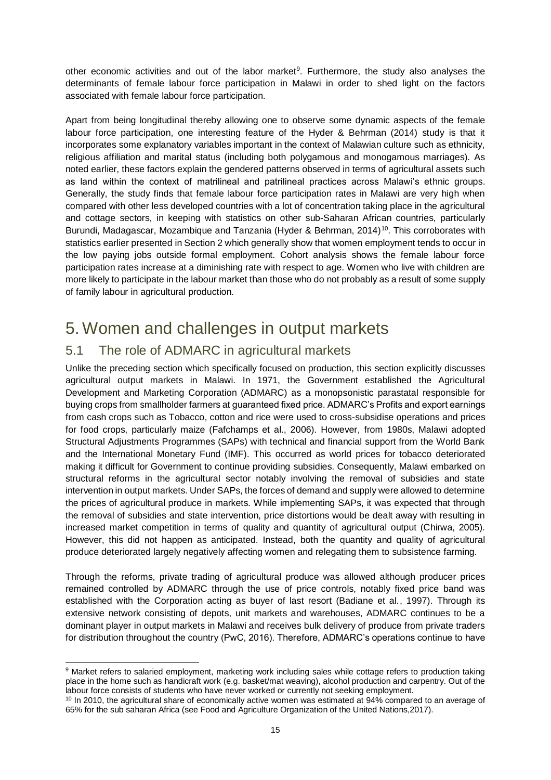other economic activities and out of the labor market<sup>9</sup>. Furthermore, the study also analyses the determinants of female labour force participation in Malawi in order to shed light on the factors associated with female labour force participation.

Apart from being longitudinal thereby allowing one to observe some dynamic aspects of the female labour force participation, one interesting feature of the Hyder & Behrman (2014) study is that it incorporates some explanatory variables important in the context of Malawian culture such as ethnicity, religious affiliation and marital status (including both polygamous and monogamous marriages). As noted earlier, these factors explain the gendered patterns observed in terms of agricultural assets such as land within the context of matrilineal and patrilineal practices across Malawi's ethnic groups. Generally, the study finds that female labour force participation rates in Malawi are very high when compared with other less developed countries with a lot of concentration taking place in the agricultural and cottage sectors, in keeping with statistics on other sub-Saharan African countries, particularly Burundi, Madagascar, Mozambique and Tanzania (Hyder & Behrman, 2014)<sup>10</sup>. This corroborates with statistics earlier presented in Section 2 which generally show that women employment tends to occur in the low paying jobs outside formal employment. Cohort analysis shows the female labour force participation rates increase at a diminishing rate with respect to age. Women who live with children are more likely to participate in the labour market than those who do not probably as a result of some supply of family labour in agricultural production.

#### <span id="page-14-0"></span>5. Women and challenges in output markets

#### <span id="page-14-1"></span>5.1 The role of ADMARC in agricultural markets

Unlike the preceding section which specifically focused on production, this section explicitly discusses agricultural output markets in Malawi. In 1971, the Government established the Agricultural Development and Marketing Corporation (ADMARC) as a monopsonistic parastatal responsible for buying crops from smallholder farmers at guaranteed fixed price. ADMARC's Profits and export earnings from cash crops such as Tobacco, cotton and rice were used to cross-subsidise operations and prices for food crops, particularly maize (Fafchamps et al., 2006). However, from 1980s, Malawi adopted Structural Adjustments Programmes (SAPs) with technical and financial support from the World Bank and the International Monetary Fund (IMF). This occurred as world prices for tobacco deteriorated making it difficult for Government to continue providing subsidies. Consequently, Malawi embarked on structural reforms in the agricultural sector notably involving the removal of subsidies and state intervention in output markets. Under SAPs, the forces of demand and supply were allowed to determine the prices of agricultural produce in markets. While implementing SAPs, it was expected that through the removal of subsidies and state intervention, price distortions would be dealt away with resulting in increased market competition in terms of quality and quantity of agricultural output (Chirwa, 2005). However, this did not happen as anticipated. Instead, both the quantity and quality of agricultural produce deteriorated largely negatively affecting women and relegating them to subsistence farming.

Through the reforms, private trading of agricultural produce was allowed although producer prices remained controlled by ADMARC through the use of price controls, notably fixed price band was established with the Corporation acting as buyer of last resort (Badiane et al., 1997). Through its extensive network consisting of depots, unit markets and warehouses, ADMARC continues to be a dominant player in output markets in Malawi and receives bulk delivery of produce from private traders for distribution throughout the country (PwC, 2016). Therefore, ADMARC's operations continue to have

l 9 Market refers to salaried employment, marketing work including sales while cottage refers to production taking place in the home such as handicraft work (e.g. basket/mat weaving), alcohol production and carpentry. Out of the labour force consists of students who have never worked or currently not seeking employment.

<sup>&</sup>lt;sup>10</sup> In 2010, the agricultural share of economically active women was estimated at 94% compared to an average of 65% for the sub saharan Africa (see Food and Agriculture Organization of the United Nations,2017).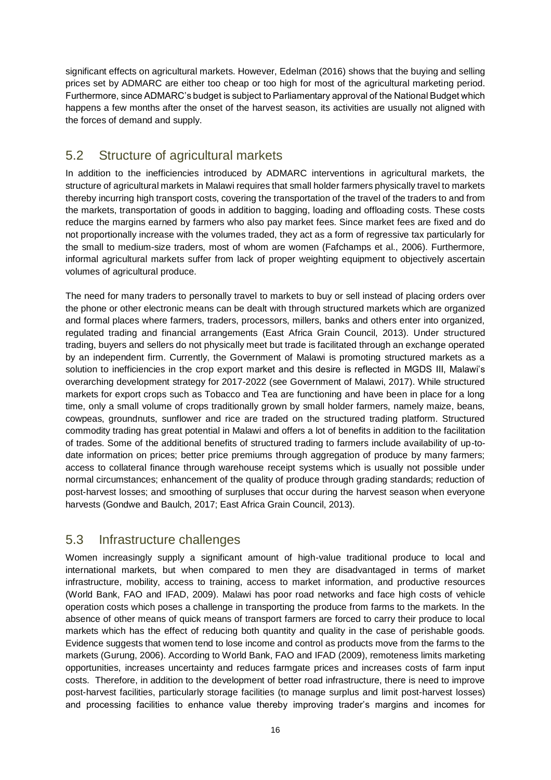significant effects on agricultural markets. However, Edelman (2016) shows that the buying and selling prices set by ADMARC are either too cheap or too high for most of the agricultural marketing period. Furthermore, since ADMARC's budget is subject to Parliamentary approval of the National Budget which happens a few months after the onset of the harvest season, its activities are usually not aligned with the forces of demand and supply.

#### <span id="page-15-0"></span>5.2 Structure of agricultural markets

In addition to the inefficiencies introduced by ADMARC interventions in agricultural markets, the structure of agricultural markets in Malawi requires that small holder farmers physically travel to markets thereby incurring high transport costs, covering the transportation of the travel of the traders to and from the markets, transportation of goods in addition to bagging, loading and offloading costs. These costs reduce the margins earned by farmers who also pay market fees. Since market fees are fixed and do not proportionally increase with the volumes traded, they act as a form of regressive tax particularly for the small to medium-size traders, most of whom are women (Fafchamps et al., 2006). Furthermore, informal agricultural markets suffer from lack of proper weighting equipment to objectively ascertain volumes of agricultural produce.

The need for many traders to personally travel to markets to buy or sell instead of placing orders over the phone or other electronic means can be dealt with through structured markets which are organized and formal places where farmers, traders, processors, millers, banks and others enter into organized, regulated trading and financial arrangements (East Africa Grain Council, 2013). Under structured trading, buyers and sellers do not physically meet but trade is facilitated through an exchange operated by an independent firm. Currently, the Government of Malawi is promoting structured markets as a solution to inefficiencies in the crop export market and this desire is reflected in MGDS III, Malawi's overarching development strategy for 2017-2022 (see Government of Malawi, 2017). While structured markets for export crops such as Tobacco and Tea are functioning and have been in place for a long time, only a small volume of crops traditionally grown by small holder farmers, namely maize, beans, cowpeas, groundnuts, sunflower and rice are traded on the structured trading platform. Structured commodity trading has great potential in Malawi and offers a lot of benefits in addition to the facilitation of trades. Some of the additional benefits of structured trading to farmers include availability of up-todate information on prices; better price premiums through aggregation of produce by many farmers; access to collateral finance through warehouse receipt systems which is usually not possible under normal circumstances; enhancement of the quality of produce through grading standards; reduction of post-harvest losses; and smoothing of surpluses that occur during the harvest season when everyone harvests (Gondwe and Baulch, 2017; East Africa Grain Council, 2013).

#### <span id="page-15-1"></span>5.3 Infrastructure challenges

Women increasingly supply a significant amount of high-value traditional produce to local and international markets, but when compared to men they are disadvantaged in terms of market infrastructure, mobility, access to training, access to market information, and productive resources (World Bank, FAO and IFAD, 2009). Malawi has poor road networks and face high costs of vehicle operation costs which poses a challenge in transporting the produce from farms to the markets. In the absence of other means of quick means of transport farmers are forced to carry their produce to local markets which has the effect of reducing both quantity and quality in the case of perishable goods. Evidence suggests that women tend to lose income and control as products move from the farms to the markets (Gurung, 2006). According to World Bank, FAO and IFAD (2009), remoteness limits marketing opportunities, increases uncertainty and reduces farmgate prices and increases costs of farm input costs. Therefore, in addition to the development of better road infrastructure, there is need to improve post-harvest facilities, particularly storage facilities (to manage surplus and limit post-harvest losses) and processing facilities to enhance value thereby improving trader's margins and incomes for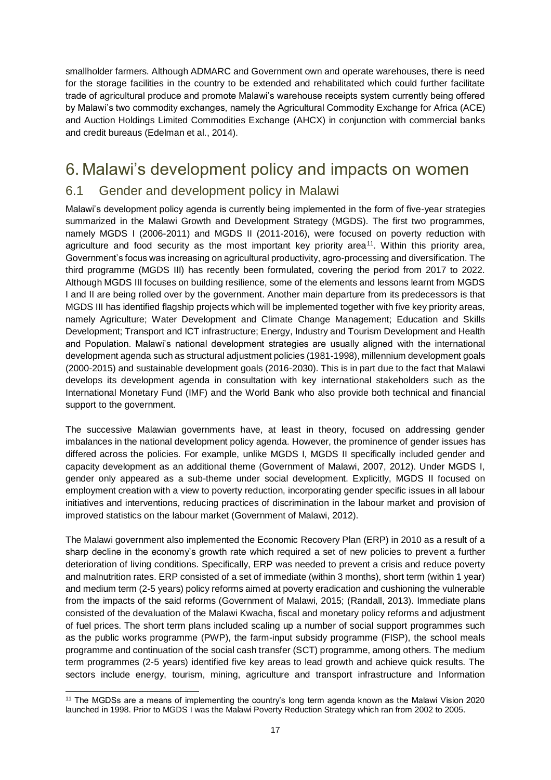smallholder farmers. Although ADMARC and Government own and operate warehouses, there is need for the storage facilities in the country to be extended and rehabilitated which could further facilitate trade of agricultural produce and promote Malawi's warehouse receipts system currently being offered by Malawi's two commodity exchanges, namely the Agricultural Commodity Exchange for Africa (ACE) and Auction Holdings Limited Commodities Exchange (AHCX) in conjunction with commercial banks and credit bureaus (Edelman et al., 2014).

#### <span id="page-16-0"></span>6. Malawi's development policy and impacts on women

#### <span id="page-16-1"></span>6.1 Gender and development policy in Malawi

Malawi's development policy agenda is currently being implemented in the form of five-year strategies summarized in the Malawi Growth and Development Strategy (MGDS). The first two programmes, namely MGDS I (2006-2011) and MGDS II (2011-2016), were focused on poverty reduction with agriculture and food security as the most important key priority area<sup>11</sup>. Within this priority area, Government's focus was increasing on agricultural productivity, agro-processing and diversification. The third programme (MGDS III) has recently been formulated, covering the period from 2017 to 2022. Although MGDS III focuses on building resilience, some of the elements and lessons learnt from MGDS I and II are being rolled over by the government. Another main departure from its predecessors is that MGDS III has identified flagship projects which will be implemented together with five key priority areas, namely Agriculture; Water Development and Climate Change Management; Education and Skills Development; Transport and ICT infrastructure; Energy, Industry and Tourism Development and Health and Population. Malawi's national development strategies are usually aligned with the international development agenda such as structural adjustment policies (1981-1998), millennium development goals (2000-2015) and sustainable development goals (2016-2030). This is in part due to the fact that Malawi develops its development agenda in consultation with key international stakeholders such as the International Monetary Fund (IMF) and the World Bank who also provide both technical and financial support to the government.

The successive Malawian governments have, at least in theory, focused on addressing gender imbalances in the national development policy agenda. However, the prominence of gender issues has differed across the policies. For example, unlike MGDS I, MGDS II specifically included gender and capacity development as an additional theme (Government of Malawi, 2007, 2012). Under MGDS I, gender only appeared as a sub-theme under social development. Explicitly, MGDS II focused on employment creation with a view to poverty reduction, incorporating gender specific issues in all labour initiatives and interventions, reducing practices of discrimination in the labour market and provision of improved statistics on the labour market (Government of Malawi, 2012).

The Malawi government also implemented the Economic Recovery Plan (ERP) in 2010 as a result of a sharp decline in the economy's growth rate which required a set of new policies to prevent a further deterioration of living conditions. Specifically, ERP was needed to prevent a crisis and reduce poverty and malnutrition rates. ERP consisted of a set of immediate (within 3 months), short term (within 1 year) and medium term (2-5 years) policy reforms aimed at poverty eradication and cushioning the vulnerable from the impacts of the said reforms (Government of Malawi, 2015; (Randall, 2013). Immediate plans consisted of the devaluation of the Malawi Kwacha, fiscal and monetary policy reforms and adjustment of fuel prices. The short term plans included scaling up a number of social support programmes such as the public works programme (PWP), the farm-input subsidy programme (FISP), the school meals programme and continuation of the social cash transfer (SCT) programme, among others. The medium term programmes (2-5 years) identified five key areas to lead growth and achieve quick results. The sectors include energy, tourism, mining, agriculture and transport infrastructure and Information

l <sup>11</sup> The MGDSs are a means of implementing the country's long term agenda known as the Malawi Vision 2020 launched in 1998. Prior to MGDS I was the Malawi Poverty Reduction Strategy which ran from 2002 to 2005.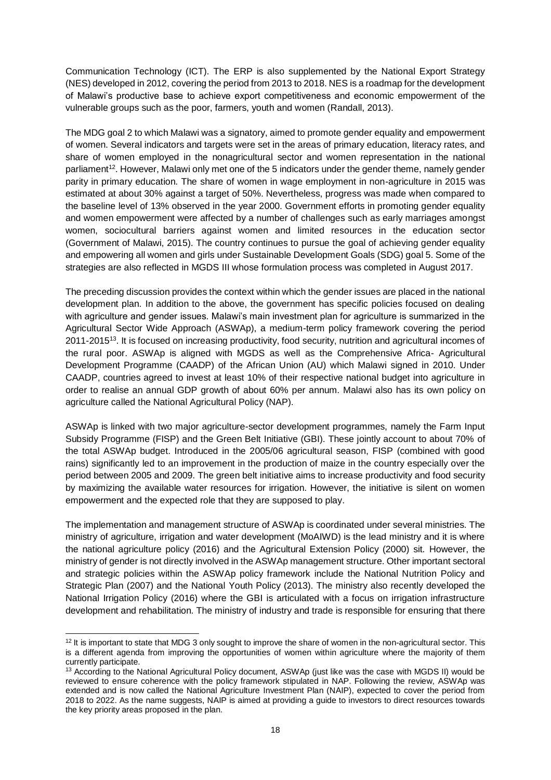Communication Technology (ICT). The ERP is also supplemented by the National Export Strategy (NES) developed in 2012, covering the period from 2013 to 2018. NES is a roadmap for the development of Malawi's productive base to achieve export competitiveness and economic empowerment of the vulnerable groups such as the poor, farmers, youth and women (Randall, 2013).

The MDG goal 2 to which Malawi was a signatory, aimed to promote gender equality and empowerment of women. Several indicators and targets were set in the areas of primary education, literacy rates, and share of women employed in the nonagricultural sector and women representation in the national parliament<sup>12</sup>. However, Malawi only met one of the 5 indicators under the gender theme, namely gender parity in primary education. The share of women in wage employment in non-agriculture in 2015 was estimated at about 30% against a target of 50%. Nevertheless, progress was made when compared to the baseline level of 13% observed in the year 2000. Government efforts in promoting gender equality and women empowerment were affected by a number of challenges such as early marriages amongst women, sociocultural barriers against women and limited resources in the education sector (Government of Malawi, 2015). The country continues to pursue the goal of achieving gender equality and empowering all women and girls under Sustainable Development Goals (SDG) goal 5. Some of the strategies are also reflected in MGDS III whose formulation process was completed in August 2017.

The preceding discussion provides the context within which the gender issues are placed in the national development plan. In addition to the above, the government has specific policies focused on dealing with agriculture and gender issues. Malawi's main investment plan for agriculture is summarized in the Agricultural Sector Wide Approach (ASWAp), a medium-term policy framework covering the period 2011-2015<sup>13</sup>. It is focused on increasing productivity, food security, nutrition and agricultural incomes of the rural poor. ASWAp is aligned with MGDS as well as the Comprehensive Africa- Agricultural Development Programme (CAADP) of the African Union (AU) which Malawi signed in 2010. Under CAADP, countries agreed to invest at least 10% of their respective national budget into agriculture in order to realise an annual GDP growth of about 60% per annum. Malawi also has its own policy on agriculture called the National Agricultural Policy (NAP).

ASWAp is linked with two major agriculture-sector development programmes, namely the Farm Input Subsidy Programme (FISP) and the Green Belt Initiative (GBI). These jointly account to about 70% of the total ASWAp budget. Introduced in the 2005/06 agricultural season, FISP (combined with good rains) significantly led to an improvement in the production of maize in the country especially over the period between 2005 and 2009. The green belt initiative aims to increase productivity and food security by maximizing the available water resources for irrigation. However, the initiative is silent on women empowerment and the expected role that they are supposed to play.

The implementation and management structure of ASWAp is coordinated under several ministries. The ministry of agriculture, irrigation and water development (MoAIWD) is the lead ministry and it is where the national agriculture policy (2016) and the Agricultural Extension Policy (2000) sit. However, the ministry of gender is not directly involved in the ASWAp management structure. Other important sectoral and strategic policies within the ASWAp policy framework include the National Nutrition Policy and Strategic Plan (2007) and the National Youth Policy (2013). The ministry also recently developed the National Irrigation Policy (2016) where the GBI is articulated with a focus on irrigation infrastructure development and rehabilitation. The ministry of industry and trade is responsible for ensuring that there

 $12$  It is important to state that MDG 3 only sought to improve the share of women in the non-agricultural sector. This is a different agenda from improving the opportunities of women within agriculture where the majority of them currently participate.

<sup>&</sup>lt;sup>13</sup> According to the National Agricultural Policy document, ASWAp (just like was the case with MGDS II) would be reviewed to ensure coherence with the policy framework stipulated in NAP. Following the review, ASWAp was extended and is now called the National Agriculture Investment Plan (NAIP), expected to cover the period from 2018 to 2022. As the name suggests, NAIP is aimed at providing a guide to investors to direct resources towards the key priority areas proposed in the plan.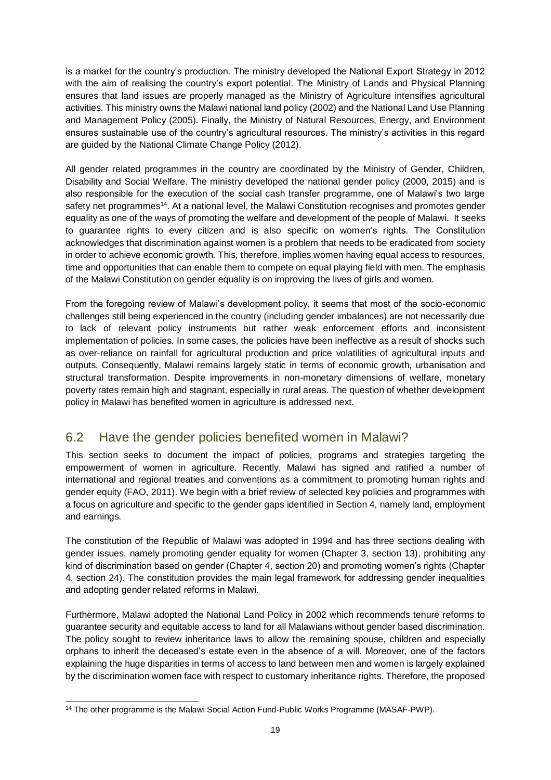is a market for the country's production. The ministry developed the National Export Strategy in 2012 with the aim of realising the country's export potential. The Ministry of Lands and Physical Planning ensures that land issues are properly managed as the Ministry of Agriculture intensifies agricultural activities. This ministry owns the Malawi national land policy (2002) and the National Land Use Planning and Management Policy (2005). Finally, the Ministry of Natural Resources, Energy, and Environment ensures sustainable use of the country's agricultural resources. The ministry's activities in this regard are guided by the National Climate Change Policy (2012).

All gender related programmes in the country are coordinated by the Ministry of Gender, Children, Disability and Social Welfare. The ministry developed the national gender policy (2000, 2015) and is also responsible for the execution of the social cash transfer programme, one of Malawi's two large safety net programmes<sup>14</sup>. At a national level, the Malawi Constitution recognises and promotes gender equality as one of the ways of promoting the welfare and development of the people of Malawi. It seeks to guarantee rights to every citizen and is also specific on women's rights. The Constitution acknowledges that discrimination against women is a problem that needs to be eradicated from society in order to achieve economic growth. This, therefore, implies women having equal access to resources, time and opportunities that can enable them to compete on equal playing field with men. The emphasis of the Malawi Constitution on gender equality is on improving the lives of girls and women.

From the foregoing review of Malawi's development policy, it seems that most of the socio-economic challenges still being experienced in the country (including gender imbalances) are not necessarily due to lack of relevant policy instruments but rather weak enforcement efforts and inconsistent implementation of policies. In some cases, the policies have been ineffective as a result of shocks such as over-reliance on rainfall for agricultural production and price volatilities of agricultural inputs and outputs. Consequently, Malawi remains largely static in terms of economic growth, urbanisation and structural transformation. Despite improvements in non-monetary dimensions of welfare, monetary poverty rates remain high and stagnant, especially in rural areas. The question of whether development policy in Malawi has benefited women in agriculture is addressed next.

#### <span id="page-18-0"></span>6.2 Have the gender policies benefited women in Malawi?

This section seeks to document the impact of policies, programs and strategies targeting the empowerment of women in agriculture. Recently, Malawi has signed and ratified a number of international and regional treaties and conventions as a commitment to promoting human rights and gender equity (FAO, 2011). We begin with a brief review of selected key policies and programmes with a focus on agriculture and specific to the gender gaps identified in Section 4, namely land, employment and earnings.

The constitution of the Republic of Malawi was adopted in 1994 and has three sections dealing with gender issues, namely promoting gender equality for women (Chapter 3, section 13), prohibiting any kind of discrimination based on gender (Chapter 4, section 20) and promoting women's rights (Chapter 4, section 24). The constitution provides the main legal framework for addressing gender inequalities and adopting gender related reforms in Malawi.

Furthermore, Malawi adopted the National Land Policy in 2002 which recommends tenure reforms to guarantee security and equitable access to land for all Malawians without gender based discrimination. The policy sought to review inheritance laws to allow the remaining spouse, children and especially orphans to inherit the deceased's estate even in the absence of a will. Moreover, one of the factors explaining the huge disparities in terms of access to land between men and women is largely explained by the discrimination women face with respect to customary inheritance rights. Therefore, the proposed

l <sup>14</sup> The other programme is the Malawi Social Action Fund-Public Works Programme (MASAF-PWP).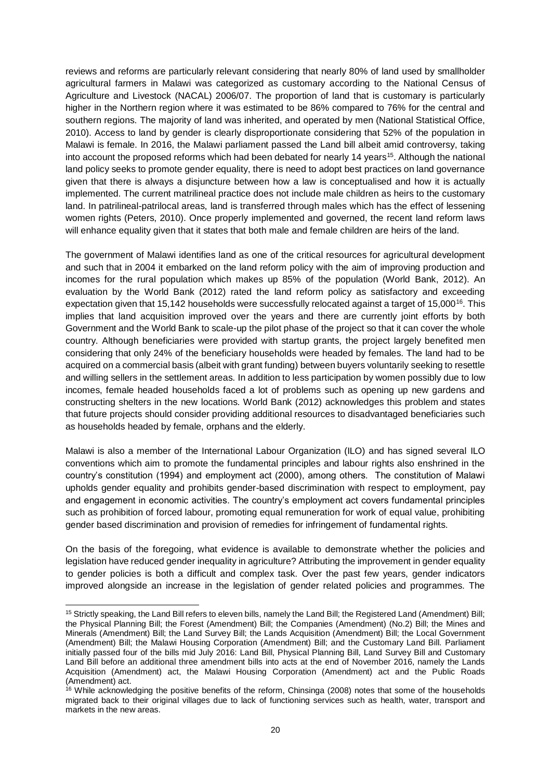reviews and reforms are particularly relevant considering that nearly 80% of land used by smallholder agricultural farmers in Malawi was categorized as customary according to the National Census of Agriculture and Livestock (NACAL) 2006/07. The proportion of land that is customary is particularly higher in the Northern region where it was estimated to be 86% compared to 76% for the central and southern regions. The majority of land was inherited, and operated by men (National Statistical Office, 2010). Access to land by gender is clearly disproportionate considering that 52% of the population in Malawi is female. In 2016, the Malawi parliament passed the Land bill albeit amid controversy, taking into account the proposed reforms which had been debated for nearly 14 years<sup>15</sup>. Although the national land policy seeks to promote gender equality, there is need to adopt best practices on land governance given that there is always a disjuncture between how a law is conceptualised and how it is actually implemented. The current matrilineal practice does not include male children as heirs to the customary land. In patrilineal-patrilocal areas, land is transferred through males which has the effect of lessening women rights (Peters, 2010). Once properly implemented and governed, the recent land reform laws will enhance equality given that it states that both male and female children are heirs of the land.

The government of Malawi identifies land as one of the critical resources for agricultural development and such that in 2004 it embarked on the land reform policy with the aim of improving production and incomes for the rural population which makes up 85% of the population (World Bank, 2012). An evaluation by the World Bank (2012) rated the land reform policy as satisfactory and exceeding expectation given that 15,142 households were successfully relocated against a target of 15,000<sup>16</sup>. This implies that land acquisition improved over the years and there are currently joint efforts by both Government and the World Bank to scale-up the pilot phase of the project so that it can cover the whole country. Although beneficiaries were provided with startup grants, the project largely benefited men considering that only 24% of the beneficiary households were headed by females. The land had to be acquired on a commercial basis (albeit with grant funding) between buyers voluntarily seeking to resettle and willing sellers in the settlement areas. In addition to less participation by women possibly due to low incomes, female headed households faced a lot of problems such as opening up new gardens and constructing shelters in the new locations. World Bank (2012) acknowledges this problem and states that future projects should consider providing additional resources to disadvantaged beneficiaries such as households headed by female, orphans and the elderly.

Malawi is also a member of the International Labour Organization (ILO) and has signed several ILO conventions which aim to promote the fundamental principles and labour rights also enshrined in the country's constitution (1994) and employment act (2000), among others. The constitution of Malawi upholds gender equality and prohibits gender-based discrimination with respect to employment, pay and engagement in economic activities. The country's employment act covers fundamental principles such as prohibition of forced labour, promoting equal remuneration for work of equal value, prohibiting gender based discrimination and provision of remedies for infringement of fundamental rights.

On the basis of the foregoing, what evidence is available to demonstrate whether the policies and legislation have reduced gender inequality in agriculture? Attributing the improvement in gender equality to gender policies is both a difficult and complex task. Over the past few years, gender indicators improved alongside an increase in the legislation of gender related policies and programmes. The

<sup>&</sup>lt;sup>15</sup> Strictly speaking, the Land Bill refers to eleven bills, namely the Land Bill; the Registered Land (Amendment) Bill; the Physical Planning Bill; the Forest (Amendment) Bill; the Companies (Amendment) (No.2) Bill; the Mines and Minerals (Amendment) Bill; the Land Survey Bill; the Lands Acquisition (Amendment) Bill; the Local Government (Amendment) Bill; the Malawi Housing Corporation (Amendment) Bill; and the Customary Land Bill. Parliament initially passed four of the bills mid July 2016: Land Bill, Physical Planning Bill, Land Survey Bill and Customary Land Bill before an additional three amendment bills into acts at the end of November 2016, namely the Lands Acquisition (Amendment) act, the Malawi Housing Corporation (Amendment) act and the Public Roads (Amendment) act.

<sup>&</sup>lt;sup>16</sup> While acknowledging the positive benefits of the reform, Chinsinga (2008) notes that some of the households migrated back to their original villages due to lack of functioning services such as health, water, transport and markets in the new areas.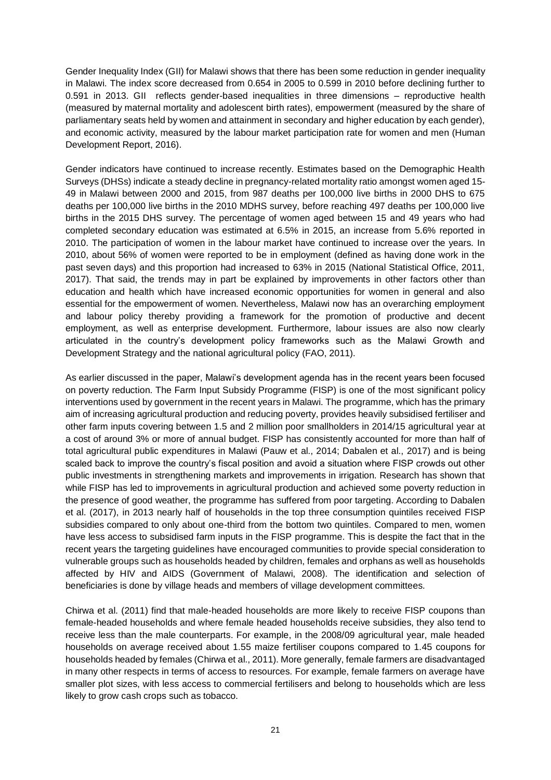Gender Inequality Index (GII) for Malawi shows that there has been some reduction in gender inequality in Malawi. The index score decreased from 0.654 in 2005 to 0.599 in 2010 before declining further to 0.591 in 2013. GII reflects gender-based inequalities in three dimensions – reproductive health (measured by maternal mortality and adolescent birth rates), empowerment (measured by the share of parliamentary seats held by women and attainment in secondary and higher education by each gender), and economic activity, measured by the labour market participation rate for women and men (Human Development Report, 2016).

Gender indicators have continued to increase recently. Estimates based on the Demographic Health Surveys (DHSs) indicate a steady decline in pregnancy-related mortality ratio amongst women aged 15- 49 in Malawi between 2000 and 2015, from 987 deaths per 100,000 live births in 2000 DHS to 675 deaths per 100,000 live births in the 2010 MDHS survey, before reaching 497 deaths per 100,000 live births in the 2015 DHS survey. The percentage of women aged between 15 and 49 years who had completed secondary education was estimated at 6.5% in 2015, an increase from 5.6% reported in 2010. The participation of women in the labour market have continued to increase over the years. In 2010, about 56% of women were reported to be in employment (defined as having done work in the past seven days) and this proportion had increased to 63% in 2015 (National Statistical Office, 2011, 2017). That said, the trends may in part be explained by improvements in other factors other than education and health which have increased economic opportunities for women in general and also essential for the empowerment of women. Nevertheless, Malawi now has an overarching employment and labour policy thereby providing a framework for the promotion of productive and decent employment, as well as enterprise development. Furthermore, labour issues are also now clearly articulated in the country's development policy frameworks such as the Malawi Growth and Development Strategy and the national agricultural policy (FAO, 2011).

As earlier discussed in the paper, Malawi's development agenda has in the recent years been focused on poverty reduction. The Farm Input Subsidy Programme (FISP) is one of the most significant policy interventions used by government in the recent years in Malawi. The programme, which has the primary aim of increasing agricultural production and reducing poverty, provides heavily subsidised fertiliser and other farm inputs covering between 1.5 and 2 million poor smallholders in 2014/15 agricultural year at a cost of around 3% or more of annual budget. FISP has consistently accounted for more than half of total agricultural public expenditures in Malawi (Pauw et al., 2014; Dabalen et al., 2017) and is being scaled back to improve the country's fiscal position and avoid a situation where FISP crowds out other public investments in strengthening markets and improvements in irrigation. Research has shown that while FISP has led to improvements in agricultural production and achieved some poverty reduction in the presence of good weather, the programme has suffered from poor targeting. According to Dabalen et al. (2017), in 2013 nearly half of households in the top three consumption quintiles received FISP subsidies compared to only about one-third from the bottom two quintiles. Compared to men, women have less access to subsidised farm inputs in the FISP programme. This is despite the fact that in the recent years the targeting guidelines have encouraged communities to provide special consideration to vulnerable groups such as households headed by children, females and orphans as well as households affected by HIV and AIDS (Government of Malawi, 2008). The identification and selection of beneficiaries is done by village heads and members of village development committees.

Chirwa et al. (2011) find that male-headed households are more likely to receive FISP coupons than female-headed households and where female headed households receive subsidies, they also tend to receive less than the male counterparts. For example, in the 2008/09 agricultural year, male headed households on average received about 1.55 maize fertiliser coupons compared to 1.45 coupons for households headed by females (Chirwa et al., 2011). More generally, female farmers are disadvantaged in many other respects in terms of access to resources. For example, female farmers on average have smaller plot sizes, with less access to commercial fertilisers and belong to households which are less likely to grow cash crops such as tobacco.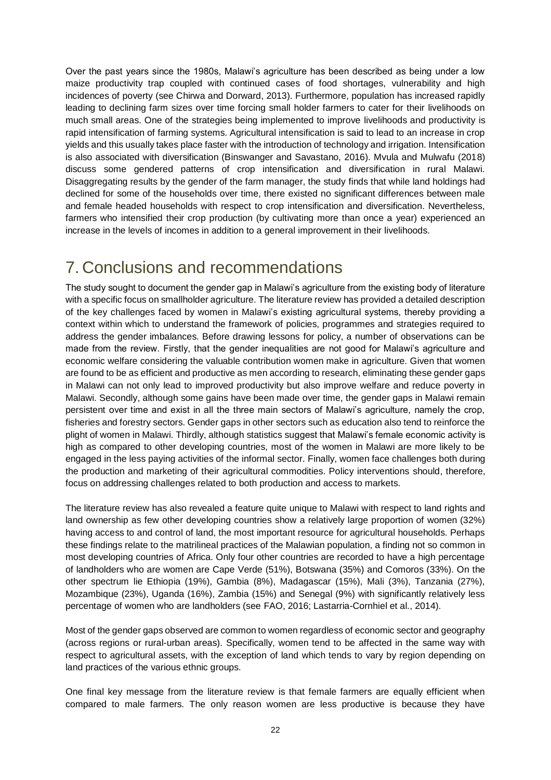Over the past years since the 1980s, Malawi's agriculture has been described as being under a low maize productivity trap coupled with continued cases of food shortages, vulnerability and high incidences of poverty (see Chirwa and Dorward, 2013). Furthermore, population has increased rapidly leading to declining farm sizes over time forcing small holder farmers to cater for their livelihoods on much small areas. One of the strategies being implemented to improve livelihoods and productivity is rapid intensification of farming systems. Agricultural intensification is said to lead to an increase in crop yields and this usually takes place faster with the introduction of technology and irrigation. Intensification is also associated with diversification (Binswanger and Savastano, 2016). Mvula and Mulwafu (2018) discuss some gendered patterns of crop intensification and diversification in rural Malawi. Disaggregating results by the gender of the farm manager, the study finds that while land holdings had declined for some of the households over time, there existed no significant differences between male and female headed households with respect to crop intensification and diversification. Nevertheless, farmers who intensified their crop production (by cultivating more than once a year) experienced an increase in the levels of incomes in addition to a general improvement in their livelihoods.

#### <span id="page-21-0"></span>7. Conclusions and recommendations

The study sought to document the gender gap in Malawi's agriculture from the existing body of literature with a specific focus on smallholder agriculture. The literature review has provided a detailed description of the key challenges faced by women in Malawi's existing agricultural systems, thereby providing a context within which to understand the framework of policies, programmes and strategies required to address the gender imbalances. Before drawing lessons for policy, a number of observations can be made from the review. Firstly, that the gender inequalities are not good for Malawi's agriculture and economic welfare considering the valuable contribution women make in agriculture. Given that women are found to be as efficient and productive as men according to research, eliminating these gender gaps in Malawi can not only lead to improved productivity but also improve welfare and reduce poverty in Malawi. Secondly, although some gains have been made over time, the gender gaps in Malawi remain persistent over time and exist in all the three main sectors of Malawi's agriculture, namely the crop, fisheries and forestry sectors. Gender gaps in other sectors such as education also tend to reinforce the plight of women in Malawi. Thirdly, although statistics suggest that Malawi's female economic activity is high as compared to other developing countries, most of the women in Malawi are more likely to be engaged in the less paying activities of the informal sector. Finally, women face challenges both during the production and marketing of their agricultural commodities. Policy interventions should, therefore, focus on addressing challenges related to both production and access to markets.

The literature review has also revealed a feature quite unique to Malawi with respect to land rights and land ownership as few other developing countries show a relatively large proportion of women (32%) having access to and control of land, the most important resource for agricultural households. Perhaps these findings relate to the matrilineal practices of the Malawian population, a finding not so common in most developing countries of Africa. Only four other countries are recorded to have a high percentage of landholders who are women are Cape Verde (51%), Botswana (35%) and Comoros (33%). On the other spectrum lie Ethiopia (19%), Gambia (8%), Madagascar (15%), Mali (3%), Tanzania (27%), Mozambique (23%), Uganda (16%), Zambia (15%) and Senegal (9%) with significantly relatively less percentage of women who are landholders (see FAO, 2016; Lastarria-Cornhiel et al., 2014).

Most of the gender gaps observed are common to women regardless of economic sector and geography (across regions or rural-urban areas). Specifically, women tend to be affected in the same way with respect to agricultural assets, with the exception of land which tends to vary by region depending on land practices of the various ethnic groups.

One final key message from the literature review is that female farmers are equally efficient when compared to male farmers. The only reason women are less productive is because they have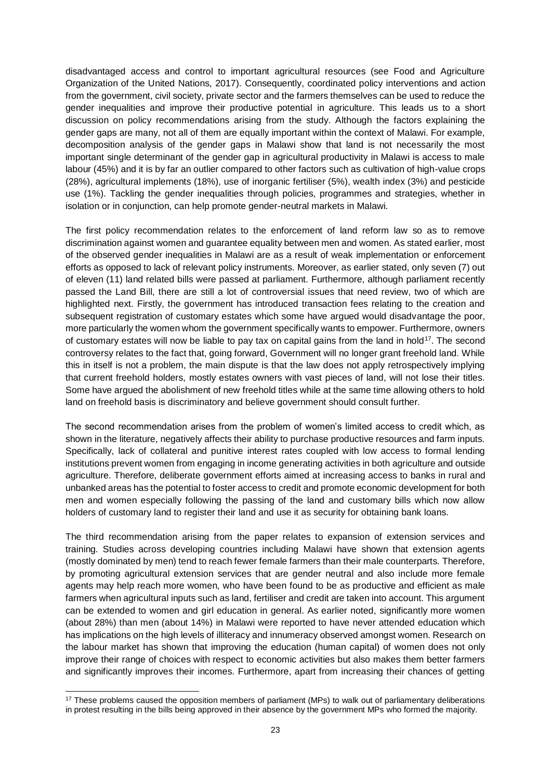disadvantaged access and control to important agricultural resources (see Food and Agriculture Organization of the United Nations, 2017). Consequently, coordinated policy interventions and action from the government, civil society, private sector and the farmers themselves can be used to reduce the gender inequalities and improve their productive potential in agriculture. This leads us to a short discussion on policy recommendations arising from the study. Although the factors explaining the gender gaps are many, not all of them are equally important within the context of Malawi. For example, decomposition analysis of the gender gaps in Malawi show that land is not necessarily the most important single determinant of the gender gap in agricultural productivity in Malawi is access to male labour (45%) and it is by far an outlier compared to other factors such as cultivation of high-value crops (28%), agricultural implements (18%), use of inorganic fertiliser (5%), wealth index (3%) and pesticide use (1%). Tackling the gender inequalities through policies, programmes and strategies, whether in isolation or in conjunction, can help promote gender-neutral markets in Malawi.

The first policy recommendation relates to the enforcement of land reform law so as to remove discrimination against women and guarantee equality between men and women. As stated earlier, most of the observed gender inequalities in Malawi are as a result of weak implementation or enforcement efforts as opposed to lack of relevant policy instruments. Moreover, as earlier stated, only seven (7) out of eleven (11) land related bills were passed at parliament. Furthermore, although parliament recently passed the Land Bill, there are still a lot of controversial issues that need review, two of which are highlighted next. Firstly, the government has introduced transaction fees relating to the creation and subsequent registration of customary estates which some have argued would disadvantage the poor, more particularly the women whom the government specifically wants to empower. Furthermore, owners of customary estates will now be liable to pay tax on capital gains from the land in hold<sup>17</sup>. The second controversy relates to the fact that, going forward, Government will no longer grant freehold land. While this in itself is not a problem, the main dispute is that the law does not apply retrospectively implying that current freehold holders, mostly estates owners with vast pieces of land, will not lose their titles. Some have argued the abolishment of new freehold titles while at the same time allowing others to hold land on freehold basis is discriminatory and believe government should consult further.

The second recommendation arises from the problem of women's limited access to credit which, as shown in the literature, negatively affects their ability to purchase productive resources and farm inputs. Specifically, lack of collateral and punitive interest rates coupled with low access to formal lending institutions prevent women from engaging in income generating activities in both agriculture and outside agriculture. Therefore, deliberate government efforts aimed at increasing access to banks in rural and unbanked areas has the potential to foster access to credit and promote economic development for both men and women especially following the passing of the land and customary bills which now allow holders of customary land to register their land and use it as security for obtaining bank loans.

The third recommendation arising from the paper relates to expansion of extension services and training. Studies across developing countries including Malawi have shown that extension agents (mostly dominated by men) tend to reach fewer female farmers than their male counterparts. Therefore, by promoting agricultural extension services that are gender neutral and also include more female agents may help reach more women, who have been found to be as productive and efficient as male farmers when agricultural inputs such as land, fertiliser and credit are taken into account. This argument can be extended to women and girl education in general. As earlier noted, significantly more women (about 28%) than men (about 14%) in Malawi were reported to have never attended education which has implications on the high levels of illiteracy and innumeracy observed amongst women. Research on the labour market has shown that improving the education (human capital) of women does not only improve their range of choices with respect to economic activities but also makes them better farmers and significantly improves their incomes. Furthermore, apart from increasing their chances of getting

<sup>&</sup>lt;sup>17</sup> These problems caused the opposition members of parliament (MPs) to walk out of parliamentary deliberations in protest resulting in the bills being approved in their absence by the government MPs who formed the majority.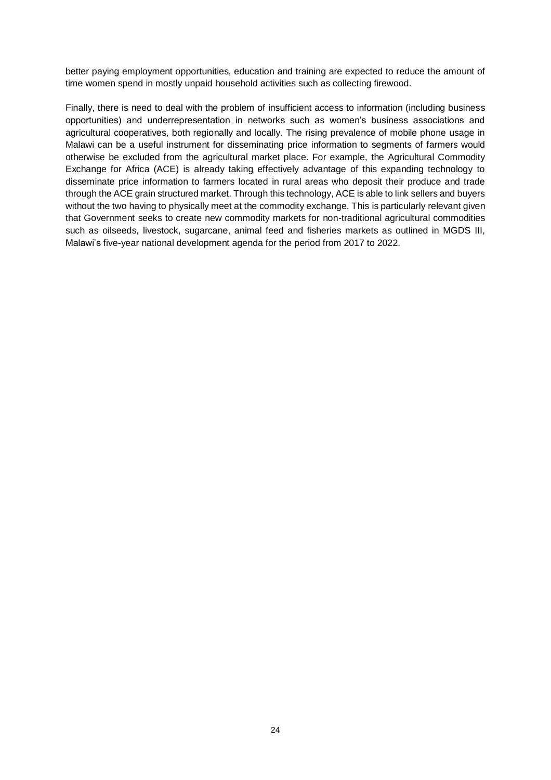better paying employment opportunities, education and training are expected to reduce the amount of time women spend in mostly unpaid household activities such as collecting firewood.

Finally, there is need to deal with the problem of insufficient access to information (including business opportunities) and underrepresentation in networks such as women's business associations and agricultural cooperatives, both regionally and locally. The rising prevalence of mobile phone usage in Malawi can be a useful instrument for disseminating price information to segments of farmers would otherwise be excluded from the agricultural market place. For example, the Agricultural Commodity Exchange for Africa (ACE) is already taking effectively advantage of this expanding technology to disseminate price information to farmers located in rural areas who deposit their produce and trade through the ACE grain structured market. Through this technology, ACE is able to link sellers and buyers without the two having to physically meet at the commodity exchange. This is particularly relevant given that Government seeks to create new commodity markets for non-traditional agricultural commodities such as oilseeds, livestock, sugarcane, animal feed and fisheries markets as outlined in MGDS III, Malawi's five-year national development agenda for the period from 2017 to 2022.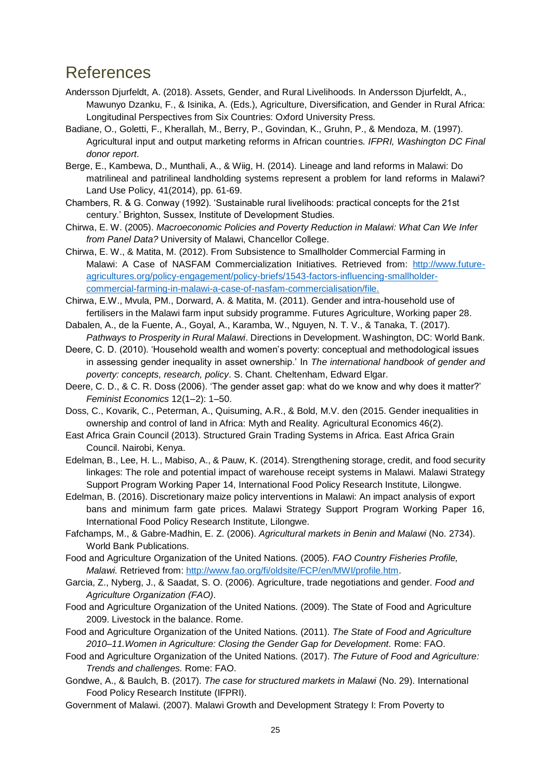#### <span id="page-24-0"></span>References

- Andersson Djurfeldt, A. (2018). Assets, Gender, and Rural Livelihoods. In Andersson Djurfeldt, A., Mawunyo Dzanku, F., & Isinika, A. (Eds.), Agriculture, Diversification, and Gender in Rural Africa: Longitudinal Perspectives from Six Countries: Oxford University Press.
- Badiane, O., Goletti, F., Kherallah, M., Berry, P., Govindan, K., Gruhn, P., & Mendoza, M. (1997). Agricultural input and output marketing reforms in African countries. *IFPRI, Washington DC Final donor report*.
- Berge, E., Kambewa, D., Munthali, A., & Wiig, H. (2014). Lineage and land reforms in Malawi: Do matrilineal and patrilineal landholding systems represent a problem for land reforms in Malawi? Land Use Policy, 41(2014), pp. 61-69.
- Chambers, R. & G. Conway (1992). 'Sustainable rural livelihoods: practical concepts for the 21st century.' Brighton, Sussex, Institute of Development Studies.
- Chirwa, E. W. (2005). *Macroeconomic Policies and Poverty Reduction in Malawi: What Can We Infer from Panel Data?* University of Malawi, Chancellor College.
- Chirwa, E. W., & Matita, M. (2012). From Subsistence to Smallholder Commercial Farming in Malawi: A Case of NASFAM Commercialization Initiatives. Retrieved from: [http://www.future](http://www.future-agricultures.org/policy-engagement/policy-briefs/1543-factors-influencing-smallholder-commercial-farming-in-malawi-a-case-of-nasfam-commercialisation/file)[agricultures.org/policy-engagement/policy-briefs/1543-factors-influencing-smallholder](http://www.future-agricultures.org/policy-engagement/policy-briefs/1543-factors-influencing-smallholder-commercial-farming-in-malawi-a-case-of-nasfam-commercialisation/file)[commercial-farming-in-malawi-a-case-of-nasfam-commercialisation/file.](http://www.future-agricultures.org/policy-engagement/policy-briefs/1543-factors-influencing-smallholder-commercial-farming-in-malawi-a-case-of-nasfam-commercialisation/file)
- Chirwa, E.W., Mvula, PM., Dorward, A. & Matita, M. (2011). Gender and intra-household use of fertilisers in the Malawi farm input subsidy programme. Futures Agriculture, Working paper 28.
- Dabalen, A., de la Fuente, A., Goyal, A., Karamba, W., Nguyen, N. T. V., & Tanaka, T. (2017). *Pathways to Prosperity in Rural Malawi*. Directions in Development. Washington, DC: World Bank.
- Deere, C. D. (2010). 'Household wealth and women's poverty: conceptual and methodological issues in assessing gender inequality in asset ownership.' In *The international handbook of gender and poverty: concepts, research, policy*. S. Chant. Cheltenham, Edward Elgar.
- Deere, C. D., & C. R. Doss (2006). 'The gender asset gap: what do we know and why does it matter?' *Feminist Economics* 12(1–2): 1–50.
- Doss, C., Kovarik, C., Peterman, A., Quisuming, A.R., & Bold, M.V. den (2015. Gender inequalities in ownership and control of land in Africa: Myth and Reality. Agricultural Economics 46(2).
- East Africa Grain Council (2013). Structured Grain Trading Systems in Africa. East Africa Grain Council. Nairobi, Kenya.
- Edelman, B., Lee, H. L., Mabiso, A., & Pauw, K. (2014). Strengthening storage, credit, and food security linkages: The role and potential impact of warehouse receipt systems in Malawi. Malawi Strategy Support Program Working Paper 14, International Food Policy Research Institute, Lilongwe.
- Edelman, B. (2016). Discretionary maize policy interventions in Malawi: An impact analysis of export bans and minimum farm gate prices. Malawi Strategy Support Program Working Paper 16, International Food Policy Research Institute, Lilongwe.
- Fafchamps, M., & Gabre-Madhin, E. Z. (2006). *Agricultural markets in Benin and Malawi* (No. 2734). World Bank Publications.
- Food and Agriculture Organization of the United Nations. (2005). *FAO Country Fisheries Profile, Malawi.* Retrieved from: [http://www.fao.org/fi/oldsite/FCP/en/MWI/profile.htm.](http://www.fao.org/fi/oldsite/FCP/en/MWI/profile.htm)
- Garcia, Z., Nyberg, J., & Saadat, S. O. (2006). Agriculture, trade negotiations and gender. *Food and Agriculture Organization (FAO)*.
- Food and Agriculture Organization of the United Nations. (2009). The State of Food and Agriculture 2009. Livestock in the balance. Rome.
- Food and Agriculture Organization of the United Nations. (2011). *The State of Food and Agriculture 2010–11.Women in Agriculture: Closing the Gender Gap for Development.* Rome: FAO.
- Food and Agriculture Organization of the United Nations. (2017). *The Future of Food and Agriculture: Trends and challenges.* Rome: FAO.
- Gondwe, A., & Baulch, B. (2017). *The case for structured markets in Malawi* (No. 29). International Food Policy Research Institute (IFPRI).
- Government of Malawi. (2007). Malawi Growth and Development Strategy I: From Poverty to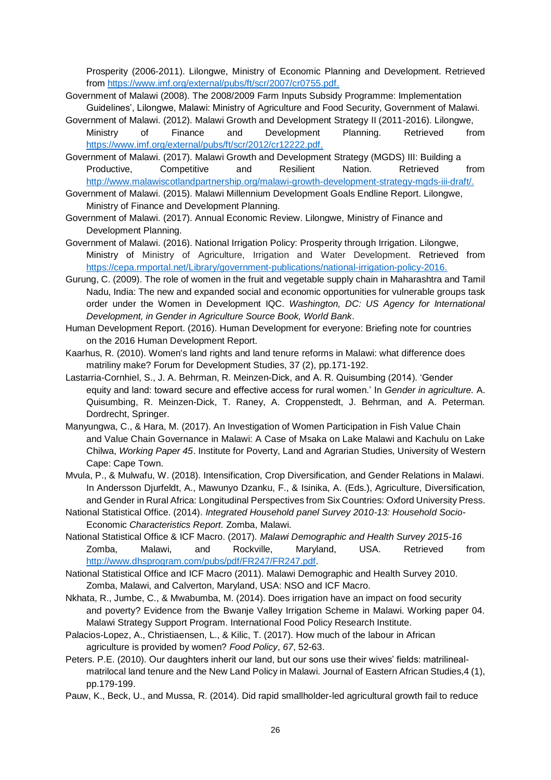Prosperity (2006-2011). Lilongwe, Ministry of Economic Planning and Development. Retrieved from [https://www.imf.org/external/pubs/ft/scr/2007/cr0755.pdf.](https://www.imf.org/external/pubs/ft/scr/2007/cr0755.pdf)

- Government of Malawi (2008). The 2008/2009 Farm Inputs Subsidy Programme: Implementation Guidelines', Lilongwe, Malawi: Ministry of Agriculture and Food Security, Government of Malawi.
- Government of Malawi. (2012). Malawi Growth and Development Strategy II (2011-2016). Lilongwe, Ministry of Finance and Development Planning. Retrieved from [https://www.imf.org/external/pubs/ft/scr/2012/cr12222.pdf.](https://www.imf.org/external/pubs/ft/scr/2012/cr12222.pdf)
- Government of Malawi. (2017). Malawi Growth and Development Strategy (MGDS) III: Building a Productive, Competitive and Resilient Nation. Retrieved from [http://www.malawiscotlandpartnership.org/malawi-growth-development-strategy-mgds-iii-draft/.](http://www.malawiscotlandpartnership.org/malawi-growth-development-strategy-mgds-iii-draft/)
- Government of Malawi. (2015). Malawi Millennium Development Goals Endline Report. Lilongwe, Ministry of Finance and Development Planning.
- Government of Malawi. (2017). Annual Economic Review. Lilongwe, Ministry of Finance and Development Planning.
- Government of Malawi. (2016). National Irrigation Policy: Prosperity through Irrigation. Lilongwe, Ministry of Ministry of Agriculture, Irrigation and Water Development. Retrieved from [https://cepa.rmportal.net/Library/government-publications/national-irrigation-policy-2016.](https://cepa.rmportal.net/Library/government-publications/national-irrigation-policy-2016)
- Gurung, C. (2009). The role of women in the fruit and vegetable supply chain in Maharashtra and Tamil Nadu, India: The new and expanded social and economic opportunities for vulnerable groups task order under the Women in Development IQC. *Washington, DC: US Agency for International Development, in Gender in Agriculture Source Book, World Bank*.
- Human Development Report. (2016). Human Development for everyone: Briefing note for countries on the 2016 Human Development Report.
- Kaarhus, R. (2010). Women's land rights and land tenure reforms in Malawi: what difference does matriliny make? Forum for Development Studies, 37 (2), pp.171-192.
- Lastarria-Cornhiel, S., J. A. Behrman, R. Meinzen-Dick, and A. R. Quisumbing (2014). 'Gender equity and land: toward secure and effective access for rural women.' In *Gender in agriculture.* A. Quisumbing, R. Meinzen-Dick, T. Raney, A. Croppenstedt, J. Behrman, and A. Peterman. Dordrecht, Springer.
- Manyungwa, C., & Hara, M. (2017). An Investigation of Women Participation in Fish Value Chain and Value Chain Governance in Malawi: A Case of Msaka on Lake Malawi and Kachulu on Lake Chilwa, *Working Paper 45*. Institute for Poverty, Land and Agrarian Studies, University of Western Cape: Cape Town.
- Mvula, P., & Mulwafu, W. (2018). Intensification, Crop Diversification, and Gender Relations in Malawi. In Andersson Djurfeldt, A., Mawunyo Dzanku, F., & Isinika, A. (Eds.), Agriculture, Diversification, and Gender in Rural Africa: Longitudinal Perspectives from Six Countries: Oxford University Press.
- National Statistical Office. (2014). *Integrated Household panel Survey 2010-13: Household Socio-*Economic *Characteristics Report.* Zomba, Malawi.
- National Statistical Office & ICF Macro. (2017). *Malawi Demographic and Health Survey 2015-16* Zomba, Malawi, and Rockville, Maryland, USA. Retrieved from [http://www.dhsprogram.com/pubs/pdf/FR247/FR247.pdf.](http://www.dhsprogram.com/pubs/pdf/FR247/FR247.pdf)

National Statistical Office and ICF Macro (2011). Malawi Demographic and Health Survey 2010. Zomba, Malawi, and Calverton, Maryland, USA: NSO and ICF Macro.

- Nkhata, R., Jumbe, C., & Mwabumba, M. (2014). Does irrigation have an impact on food security and poverty? Evidence from the Bwanje Valley Irrigation Scheme in Malawi. Working paper 04. Malawi Strategy Support Program. International Food Policy Research Institute.
- Palacios-Lopez, A., Christiaensen, L., & Kilic, T. (2017). How much of the labour in African agriculture is provided by women? *Food Policy*, *67*, 52-63.
- Peters. P.E. (2010). Our daughters inherit our land, but our sons use their wives' fields: matrilinealmatrilocal land tenure and the New Land Policy in Malawi. Journal of Eastern African Studies,4 (1), pp.179-199.
- Pauw, K., Beck, U., and Mussa, R. (2014). Did rapid smallholder-led agricultural growth fail to reduce